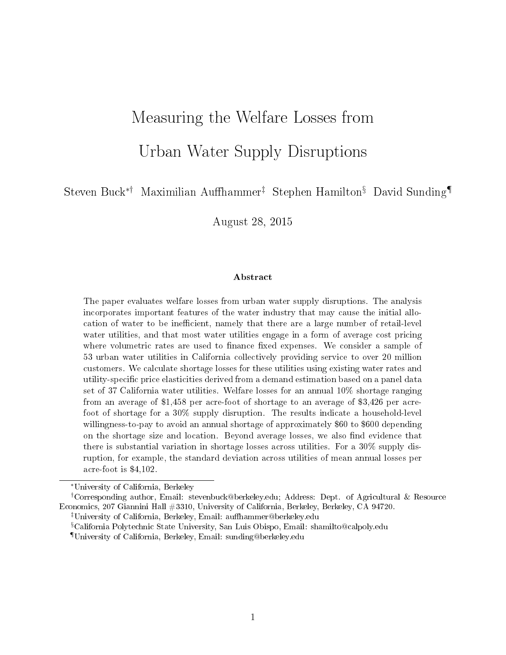# Measuring the Welfare Losses from Urban Water Supply Disruptions

Steven Buck<sup>∗†</sup> Maximilian Auffhammer<sup>‡</sup> Stephen Hamilton<sup>§</sup> David Sunding<sup>¶</sup>

August 28, 2015

#### Abstract

The paper evaluates welfare losses from urban water supply disruptions. The analysis incorporates important features of the water industry that may cause the initial allocation of water to be inefficient, namely that there are a large number of retail-level water utilities, and that most water utilities engage in a form of average cost pricing where volumetric rates are used to finance fixed expenses. We consider a sample of 53 urban water utilities in California collectively providing service to over 20 million customers. We calculate shortage losses for these utilities using existing water rates and utility-specific price elasticities derived from a demand estimation based on a panel data set of 37 California water utilities. Welfare losses for an annual 10% shortage ranging from an average of \$1,458 per acre-foot of shortage to an average of \$3,426 per acrefoot of shortage for a 30% supply disruption. The results indicate a household-level willingness-to-pay to avoid an annual shortage of approximately \$60 to \$600 depending on the shortage size and location. Beyond average losses, we also find evidence that there is substantial variation in shortage losses across utilities. For a 30% supply disruption, for example, the standard deviation across utilities of mean annual losses per acre-foot is \$4,102.

<sup>∗</sup>University of California, Berkeley

<sup>†</sup>Corresponding author, Email: stevenbuck@berkeley.edu; Address: Dept. of Agricultural & Resource Economics, 207 Giannini Hall #3310, University of California, Berkeley, Berkeley, CA 94720.

<sup>&</sup>lt;sup>‡</sup>University of California, Berkeley, Email: auffhammer@berkeley.edu

<sup>§</sup>California Polytechnic State University, San Luis Obispo, Email: shamilto@calpoly.edu

<sup>¶</sup>University of California, Berkeley, Email: sunding@berkeley.edu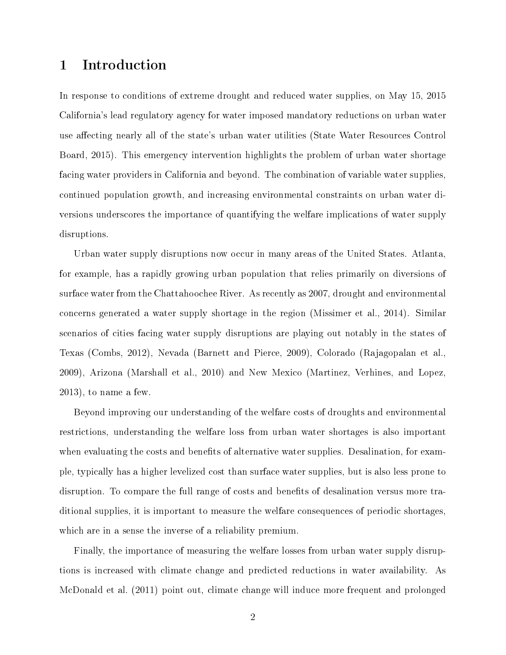## 1 Introduction

In response to conditions of extreme drought and reduced water supplies, on May 15, 2015 California's lead regulatory agency for water imposed mandatory reductions on urban water use affecting nearly all of the state's urban water utilities (State Water Resources Control Board, 2015). This emergency intervention highlights the problem of urban water shortage facing water providers in California and beyond. The combination of variable water supplies, continued population growth, and increasing environmental constraints on urban water diversions underscores the importance of quantifying the welfare implications of water supply disruptions.

Urban water supply disruptions now occur in many areas of the United States. Atlanta, for example, has a rapidly growing urban population that relies primarily on diversions of surface water from the Chattahoochee River. As recently as 2007, drought and environmental concerns generated a water supply shortage in the region (Missimer et al., 2014). Similar scenarios of cities facing water supply disruptions are playing out notably in the states of Texas (Combs, 2012), Nevada (Barnett and Pierce, 2009), Colorado (Rajagopalan et al., 2009), Arizona (Marshall et al., 2010) and New Mexico (Martinez, Verhines, and Lopez, 2013), to name a few.

Beyond improving our understanding of the welfare costs of droughts and environmental restrictions, understanding the welfare loss from urban water shortages is also important when evaluating the costs and benefits of alternative water supplies. Desalination, for example, typically has a higher levelized cost than surface water supplies, but is also less prone to disruption. To compare the full range of costs and benefits of desalination versus more traditional supplies, it is important to measure the welfare consequences of periodic shortages, which are in a sense the inverse of a reliability premium.

Finally, the importance of measuring the welfare losses from urban water supply disruptions is increased with climate change and predicted reductions in water availability. As McDonald et al. (2011) point out, climate change will induce more frequent and prolonged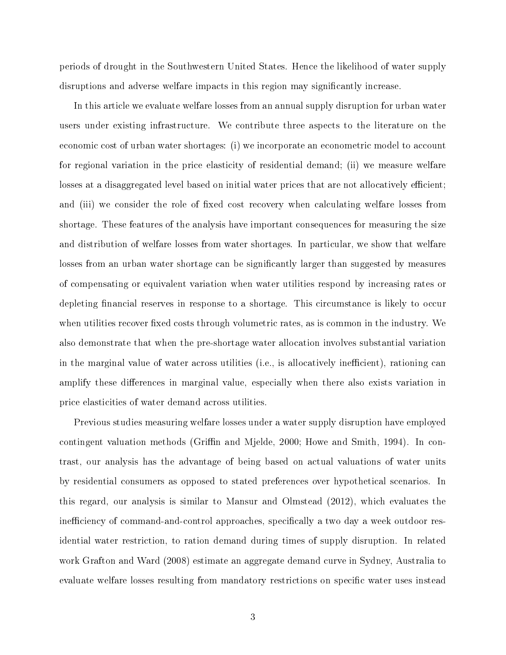periods of drought in the Southwestern United States. Hence the likelihood of water supply disruptions and adverse welfare impacts in this region may significantly increase.

In this article we evaluate welfare losses from an annual supply disruption for urban water users under existing infrastructure. We contribute three aspects to the literature on the economic cost of urban water shortages: (i) we incorporate an econometric model to account for regional variation in the price elasticity of residential demand; (ii) we measure welfare losses at a disaggregated level based on initial water prices that are not allocatively efficient; and (iii) we consider the role of fixed cost recovery when calculating welfare losses from shortage. These features of the analysis have important consequences for measuring the size and distribution of welfare losses from water shortages. In particular, we show that welfare losses from an urban water shortage can be significantly larger than suggested by measures of compensating or equivalent variation when water utilities respond by increasing rates or depleting financial reserves in response to a shortage. This circumstance is likely to occur when utilities recover fixed costs through volumetric rates, as is common in the industry. We also demonstrate that when the pre-shortage water allocation involves substantial variation in the marginal value of water across utilities (i.e., is allocatively inefficient), rationing can amplify these differences in marginal value, especially when there also exists variation in price elasticities of water demand across utilities.

Previous studies measuring welfare losses under a water supply disruption have employed contingent valuation methods (Griffin and Mjelde, 2000; Howe and Smith, 1994). In contrast, our analysis has the advantage of being based on actual valuations of water units by residential consumers as opposed to stated preferences over hypothetical scenarios. In this regard, our analysis is similar to Mansur and Olmstead (2012), which evaluates the inefficiency of command-and-control approaches, specifically a two day a week outdoor residential water restriction, to ration demand during times of supply disruption. In related work Grafton and Ward (2008) estimate an aggregate demand curve in Sydney, Australia to evaluate welfare losses resulting from mandatory restrictions on specific water uses instead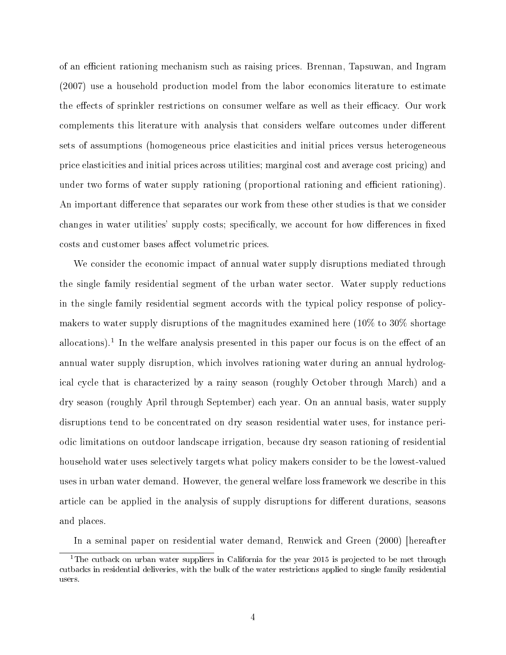of an efficient rationing mechanism such as raising prices. Brennan, Tapsuwan, and Ingram (2007) use a household production model from the labor economics literature to estimate the effects of sprinkler restrictions on consumer welfare as well as their efficacy. Our work complements this literature with analysis that considers welfare outcomes under different sets of assumptions (homogeneous price elasticities and initial prices versus heterogeneous price elasticities and initial prices across utilities; marginal cost and average cost pricing) and under two forms of water supply rationing (proportional rationing and efficient rationing). An important difference that separates our work from these other studies is that we consider changes in water utilities' supply costs; specifically, we account for how differences in fixed costs and customer bases affect volumetric prices.

We consider the economic impact of annual water supply disruptions mediated through the single family residential segment of the urban water sector. Water supply reductions in the single family residential segment accords with the typical policy response of policymakers to water supply disruptions of the magnitudes examined here  $(10\%$  to  $30\%$  shortage allocations).<sup>1</sup> In the welfare analysis presented in this paper our focus is on the effect of an annual water supply disruption, which involves rationing water during an annual hydrological cycle that is characterized by a rainy season (roughly October through March) and a dry season (roughly April through September) each year. On an annual basis, water supply disruptions tend to be concentrated on dry season residential water uses, for instance periodic limitations on outdoor landscape irrigation, because dry season rationing of residential household water uses selectively targets what policy makers consider to be the lowest-valued uses in urban water demand. However, the general welfare loss framework we describe in this article can be applied in the analysis of supply disruptions for different durations, seasons and places.

In a seminal paper on residential water demand, Renwick and Green (2000) [hereafter

<sup>&</sup>lt;sup>1</sup>The cutback on urban water suppliers in California for the year 2015 is projected to be met through cutbacks in residential deliveries, with the bulk of the water restrictions applied to single family residential users.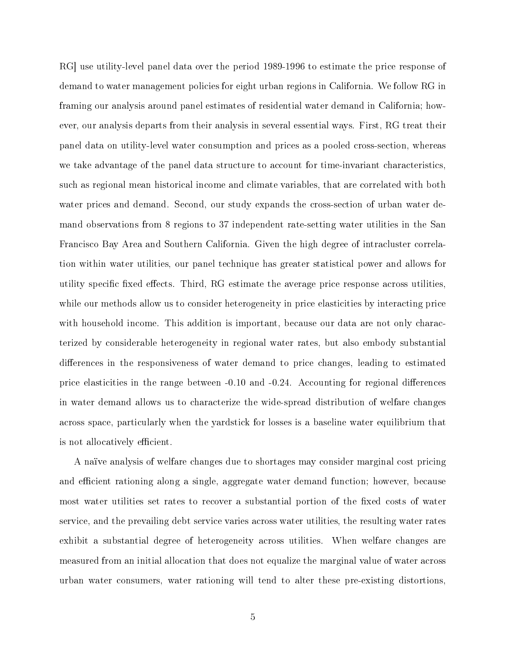RG] use utility-level panel data over the period 1989-1996 to estimate the price response of demand to water management policies for eight urban regions in California. We follow RG in framing our analysis around panel estimates of residential water demand in California; however, our analysis departs from their analysis in several essential ways. First, RG treat their panel data on utility-level water consumption and prices as a pooled cross-section, whereas we take advantage of the panel data structure to account for time-invariant characteristics, such as regional mean historical income and climate variables, that are correlated with both water prices and demand. Second, our study expands the cross-section of urban water demand observations from 8 regions to 37 independent rate-setting water utilities in the San Francisco Bay Area and Southern California. Given the high degree of intracluster correlation within water utilities, our panel technique has greater statistical power and allows for utility specific fixed effects. Third, RG estimate the average price response across utilities, while our methods allow us to consider heterogeneity in price elasticities by interacting price with household income. This addition is important, because our data are not only characterized by considerable heterogeneity in regional water rates, but also embody substantial differences in the responsiveness of water demand to price changes, leading to estimated price elasticities in the range between  $-0.10$  and  $-0.24$ . Accounting for regional differences in water demand allows us to characterize the wide-spread distribution of welfare changes across space, particularly when the yardstick for losses is a baseline water equilibrium that is not allocatively efficient.

A naïve analysis of welfare changes due to shortages may consider marginal cost pricing and efficient rationing along a single, aggregate water demand function; however, because most water utilities set rates to recover a substantial portion of the fixed costs of water service, and the prevailing debt service varies across water utilities, the resulting water rates exhibit a substantial degree of heterogeneity across utilities. When welfare changes are measured from an initial allocation that does not equalize the marginal value of water across urban water consumers, water rationing will tend to alter these pre-existing distortions,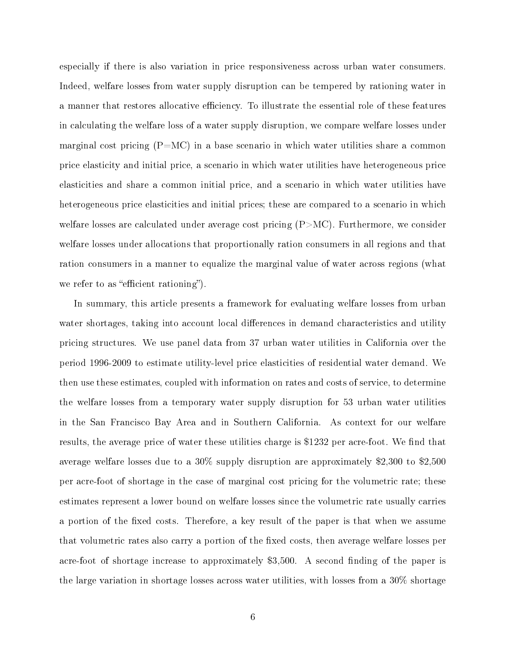especially if there is also variation in price responsiveness across urban water consumers. Indeed, welfare losses from water supply disruption can be tempered by rationing water in a manner that restores allocative efficiency. To illustrate the essential role of these features in calculating the welfare loss of a water supply disruption, we compare welfare losses under marginal cost pricing  $(P=MC)$  in a base scenario in which water utilities share a common price elasticity and initial price, a scenario in which water utilities have heterogeneous price elasticities and share a common initial price, and a scenario in which water utilities have heterogeneous price elasticities and initial prices; these are compared to a scenario in which welfare losses are calculated under average cost pricing  $(P > MC)$ . Furthermore, we consider welfare losses under allocations that proportionally ration consumers in all regions and that ration consumers in a manner to equalize the marginal value of water across regions (what we refer to as "efficient rationing".

In summary, this article presents a framework for evaluating welfare losses from urban water shortages, taking into account local differences in demand characteristics and utility pricing structures. We use panel data from 37 urban water utilities in California over the period 1996-2009 to estimate utility-level price elasticities of residential water demand. We then use these estimates, coupled with information on rates and costs of service, to determine the welfare losses from a temporary water supply disruption for 53 urban water utilities in the San Francisco Bay Area and in Southern California. As context for our welfare results, the average price of water these utilities charge is \$1232 per acre-foot. We find that average welfare losses due to a 30% supply disruption are approximately \$2,300 to \$2,500 per acre-foot of shortage in the case of marginal cost pricing for the volumetric rate; these estimates represent a lower bound on welfare losses since the volumetric rate usually carries a portion of the fixed costs. Therefore, a key result of the paper is that when we assume that volumetric rates also carry a portion of the fixed costs, then average welfare losses per acre-foot of shortage increase to approximately \$3,500. A second finding of the paper is the large variation in shortage losses across water utilities, with losses from a 30% shortage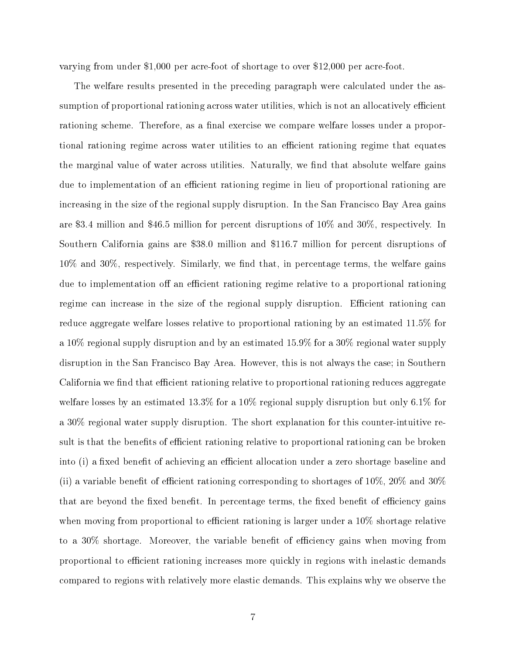varying from under \$1,000 per acre-foot of shortage to over \$12,000 per acre-foot.

The welfare results presented in the preceding paragraph were calculated under the assumption of proportional rationing across water utilities, which is not an allocatively efficient rationing scheme. Therefore, as a final exercise we compare welfare losses under a proportional rationing regime across water utilities to an efficient rationing regime that equates the marginal value of water across utilities. Naturally, we find that absolute welfare gains due to implementation of an efficient rationing regime in lieu of proportional rationing are increasing in the size of the regional supply disruption. In the San Francisco Bay Area gains are \$3.4 million and \$46.5 million for percent disruptions of 10% and 30%, respectively. In Southern California gains are \$38.0 million and \$116.7 million for percent disruptions of  $10\%$  and  $30\%$ , respectively. Similarly, we find that, in percentage terms, the welfare gains due to implementation of an efficient rationing regime relative to a proportional rationing regime can increase in the size of the regional supply disruption. Efficient rationing can reduce aggregate welfare losses relative to proportional rationing by an estimated 11.5% for a 10% regional supply disruption and by an estimated 15.9% for a 30% regional water supply disruption in the San Francisco Bay Area. However, this is not always the case; in Southern California we find that efficient rationing relative to proportional rationing reduces aggregate welfare losses by an estimated 13.3% for a 10% regional supply disruption but only 6.1% for a 30% regional water supply disruption. The short explanation for this counter-intuitive result is that the benefits of efficient rationing relative to proportional rationing can be broken into (i) a fixed benefit of achieving an efficient allocation under a zero shortage baseline and (ii) a variable benefit of efficient rationing corresponding to shortages of  $10\%$ ,  $20\%$  and  $30\%$ that are beyond the fixed benefit. In percentage terms, the fixed benefit of efficiency gains when moving from proportional to efficient rationing is larger under a  $10\%$  shortage relative to a  $30\%$  shortage. Moreover, the variable benefit of efficiency gains when moving from proportional to efficient rationing increases more quickly in regions with inelastic demands compared to regions with relatively more elastic demands. This explains why we observe the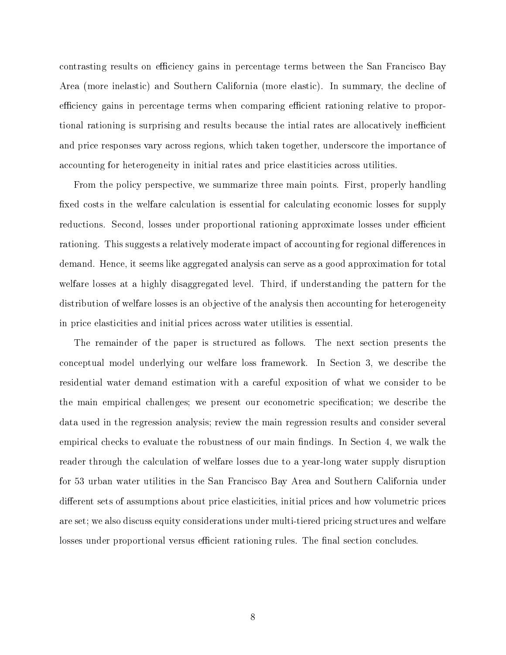contrasting results on efficiency gains in percentage terms between the San Francisco Bay Area (more inelastic) and Southern California (more elastic). In summary, the decline of efficiency gains in percentage terms when comparing efficient rationing relative to proportional rationing is surprising and results because the intial rates are allocatively inefficient and price responses vary across regions, which taken together, underscore the importance of accounting for heterogeneity in initial rates and price elastiticies across utilities.

From the policy perspective, we summarize three main points. First, properly handling fixed costs in the welfare calculation is essential for calculating economic losses for supply reductions. Second, losses under proportional rationing approximate losses under efficient rationing. This suggests a relatively moderate impact of accounting for regional differences in demand. Hence, it seems like aggregated analysis can serve as a good approximation for total welfare losses at a highly disaggregated level. Third, if understanding the pattern for the distribution of welfare losses is an objective of the analysis then accounting for heterogeneity in price elasticities and initial prices across water utilities is essential.

The remainder of the paper is structured as follows. The next section presents the conceptual model underlying our welfare loss framework. In Section 3, we describe the residential water demand estimation with a careful exposition of what we consider to be the main empirical challenges; we present our econometric specification; we describe the data used in the regression analysis; review the main regression results and consider several empirical checks to evaluate the robustness of our main findings. In Section 4, we walk the reader through the calculation of welfare losses due to a year-long water supply disruption for 53 urban water utilities in the San Francisco Bay Area and Southern California under different sets of assumptions about price elasticities, initial prices and how volumetric prices are set; we also discuss equity considerations under multi-tiered pricing structures and welfare losses under proportional versus efficient rationing rules. The final section concludes.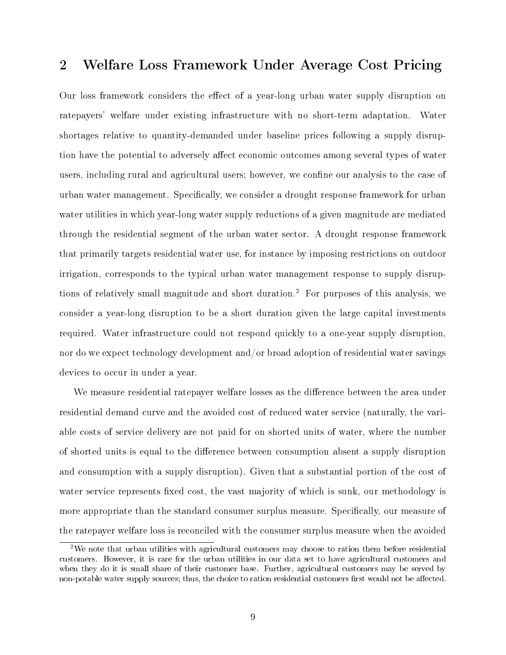## 2 Welfare Loss Framework Under Average Cost Pricing

Our loss framework considers the effect of a year-long urban water supply disruption on ratepayers' welfare under existing infrastructure with no short-term adaptation. Water shortages relative to quantity-demanded under baseline prices following a supply disruption have the potential to adversely affect economic outcomes among several types of water users, including rural and agricultural users; however, we confine our analysis to the case of urban water management. Specifically, we consider a drought response framework for urban water utilities in which year-long water supply reductions of a given magnitude are mediated through the residential segment of the urban water sector. A drought response framework that primarily targets residential water use, for instance by imposing restrictions on outdoor irrigation, corresponds to the typical urban water management response to supply disruptions of relatively small magnitude and short duration.<sup>2</sup> For purposes of this analysis, we consider a year-long disruption to be a short duration given the large capital investments required. Water infrastructure could not respond quickly to a one-year supply disruption, nor do we expect technology development and/or broad adoption of residential water savings devices to occur in under a year.

We measure residential ratepayer welfare losses as the difference between the area under residential demand curve and the avoided cost of reduced water service (naturally, the variable costs of service delivery are not paid for on shorted units of water, where the number of shorted units is equal to the difference between consumption absent a supply disruption and consumption with a supply disruption). Given that a substantial portion of the cost of water service represents fixed cost, the vast majority of which is sunk, our methodology is more appropriate than the standard consumer surplus measure. Specifically, our measure of the ratepayer welfare loss is reconciled with the consumer surplus measure when the avoided

<sup>&</sup>lt;sup>2</sup>We note that urban utilities with agricultural customers may choose to ration them before residential customers. However, it is rare for the urban utilities in our data set to have agricultural customers and when they do it is small share of their customer base. Further, agricultural customers may be served by non-potable water supply sources; thus, the choice to ration residential customers first would not be affected.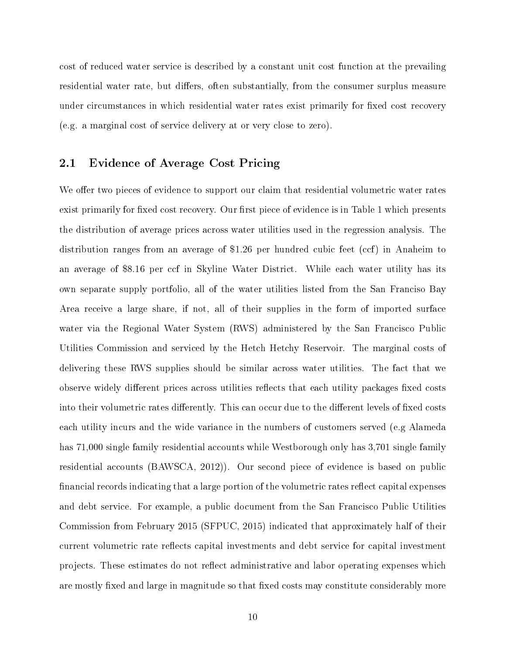cost of reduced water service is described by a constant unit cost function at the prevailing residential water rate, but differs, often substantially, from the consumer surplus measure under circumstances in which residential water rates exist primarily for fixed cost recovery (e.g. a marginal cost of service delivery at or very close to zero).

## 2.1 Evidence of Average Cost Pricing

We offer two pieces of evidence to support our claim that residential volumetric water rates exist primarily for fixed cost recovery. Our first piece of evidence is in Table 1 which presents the distribution of average prices across water utilities used in the regression analysis. The distribution ranges from an average of \$1.26 per hundred cubic feet (ccf) in Anaheim to an average of \$8.16 per ccf in Skyline Water District. While each water utility has its own separate supply portfolio, all of the water utilities listed from the San Franciso Bay Area receive a large share, if not, all of their supplies in the form of imported surface water via the Regional Water System (RWS) administered by the San Francisco Public Utilities Commission and serviced by the Hetch Hetchy Reservoir. The marginal costs of delivering these RWS supplies should be similar across water utilities. The fact that we observe widely different prices across utilities reflects that each utility packages fixed costs into their volumetric rates differently. This can occur due to the different levels of fixed costs each utility incurs and the wide variance in the numbers of customers served (e.g Alameda has 71,000 single family residential accounts while Westborough only has 3,701 single family residential accounts (BAWSCA, 2012)). Our second piece of evidence is based on public financial records indicating that a large portion of the volumetric rates reflect capital expenses and debt service. For example, a public document from the San Francisco Public Utilities Commission from February 2015 (SFPUC, 2015) indicated that approximately half of their current volumetric rate reflects capital investments and debt service for capital investment projects. These estimates do not reflect administrative and labor operating expenses which are mostly fixed and large in magnitude so that fixed costs may constitute considerably more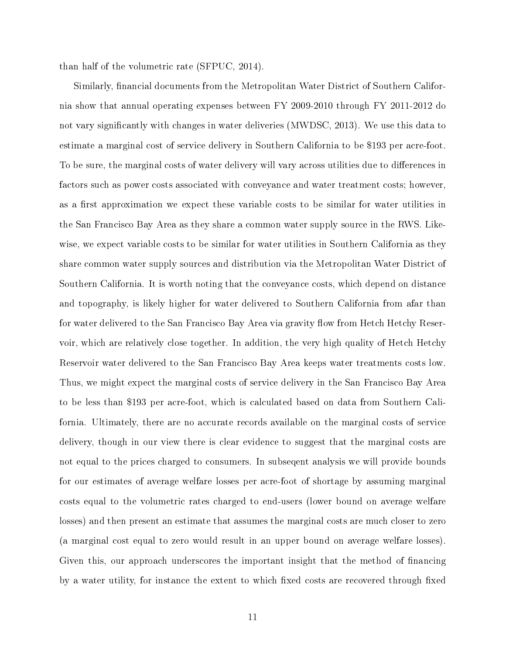than half of the volumetric rate (SFPUC, 2014).

Similarly, financial documents from the Metropolitan Water District of Southern California show that annual operating expenses between FY 2009-2010 through FY 2011-2012 do not vary significantly with changes in water deliveries (MWDSC, 2013). We use this data to estimate a marginal cost of service delivery in Southern California to be \$193 per acre-foot. To be sure, the marginal costs of water delivery will vary across utilities due to differences in factors such as power costs associated with conveyance and water treatment costs; however, as a first approximation we expect these variable costs to be similar for water utilities in the San Francisco Bay Area as they share a common water supply source in the RWS. Likewise, we expect variable costs to be similar for water utilities in Southern California as they share common water supply sources and distribution via the Metropolitan Water District of Southern California. It is worth noting that the conveyance costs, which depend on distance and topography, is likely higher for water delivered to Southern California from afar than for water delivered to the San Francisco Bay Area via gravity flow from Hetch Hetchy Reservoir, which are relatively close together. In addition, the very high quality of Hetch Hetchy Reservoir water delivered to the San Francisco Bay Area keeps water treatments costs low. Thus, we might expect the marginal costs of service delivery in the San Francisco Bay Area to be less than \$193 per acre-foot, which is calculated based on data from Southern California. Ultimately, there are no accurate records available on the marginal costs of service delivery, though in our view there is clear evidence to suggest that the marginal costs are not equal to the prices charged to consumers. In subseqent analysis we will provide bounds for our estimates of average welfare losses per acre-foot of shortage by assuming marginal costs equal to the volumetric rates charged to end-users (lower bound on average welfare losses) and then present an estimate that assumes the marginal costs are much closer to zero (a marginal cost equal to zero would result in an upper bound on average welfare losses). Given this, our approach underscores the important insight that the method of financing by a water utility, for instance the extent to which fixed costs are recovered through fixed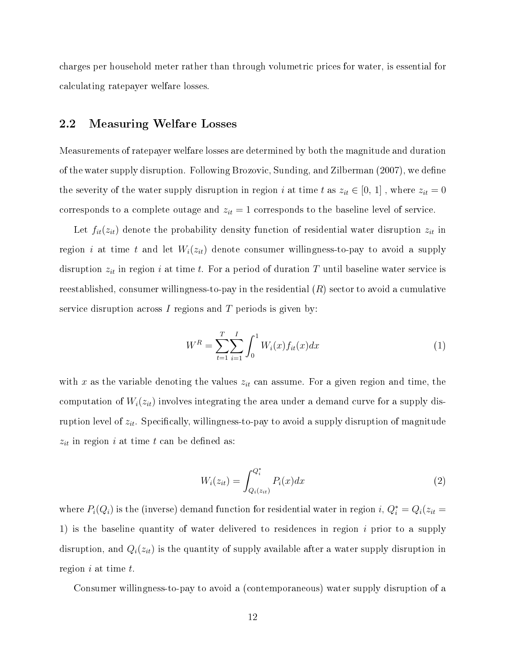charges per household meter rather than through volumetric prices for water, is essential for calculating ratepayer welfare losses.

## 2.2 Measuring Welfare Losses

Measurements of ratepayer welfare losses are determined by both the magnitude and duration of the water supply disruption. Following Brozovic, Sunding, and Zilberman (2007), we define the severity of the water supply disruption in region i at time t as  $z_{it} \in [0, 1]$ , where  $z_{it} = 0$ corresponds to a complete outage and  $z_{it} = 1$  corresponds to the baseline level of service.

Let  $f_{it}(z_{it})$  denote the probability density function of residential water disruption  $z_{it}$  in region i at time t and let  $W_i(z_{it})$  denote consumer willingness-to-pay to avoid a supply disruption  $z_{it}$  in region i at time t. For a period of duration T until baseline water service is reestablished, consumer willingness-to-pay in the residential  $(R)$  sector to avoid a cumulative service disruption across  $I$  regions and  $T$  periods is given by:

$$
W^{R} = \sum_{t=1}^{T} \sum_{i=1}^{I} \int_{0}^{1} W_{i}(x) f_{it}(x) dx
$$
 (1)

with x as the variable denoting the values  $z_{it}$  can assume. For a given region and time, the computation of  $W_i(z_{it})$  involves integrating the area under a demand curve for a supply disruption level of  $z_{it}$ . Specifically, willingness-to-pay to avoid a supply disruption of magnitude  $z_{it}$  in region i at time t can be defined as:

$$
W_i(z_{it}) = \int_{Q_i(z_{it})}^{Q_i^*} P_i(x) dx
$$
\n(2)

where  $P_i(Q_i)$  is the (inverse) demand function for residential water in region  $i, Q_i^* = Q_i(z_{it} = i)$ 1) is the baseline quantity of water delivered to residences in region  $i$  prior to a supply disruption, and  $Q_i(z_{it})$  is the quantity of supply available after a water supply disruption in region  $i$  at time  $t$ .

Consumer willingness-to-pay to avoid a (contemporaneous) water supply disruption of a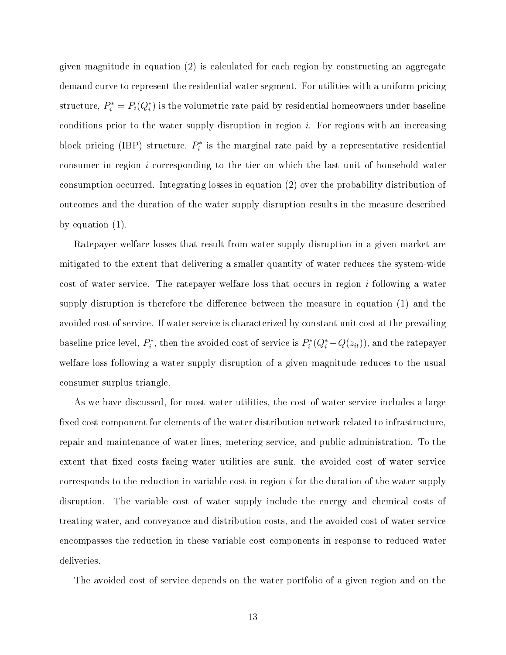given magnitude in equation (2) is calculated for each region by constructing an aggregate demand curve to represent the residential water segment. For utilities with a uniform pricing structure,  $P_i^* = P_i(Q_i^*)$  is the volumetric rate paid by residential homeowners under baseline conditions prior to the water supply disruption in region  $i$ . For regions with an increasing block pricing (IBP) structure,  $P_i^*$  is the marginal rate paid by a representative residential consumer in region  $i$  corresponding to the tier on which the last unit of household water consumption occurred. Integrating losses in equation (2) over the probability distribution of outcomes and the duration of the water supply disruption results in the measure described by equation (1).

Ratepayer welfare losses that result from water supply disruption in a given market are mitigated to the extent that delivering a smaller quantity of water reduces the system-wide cost of water service. The ratepayer welfare loss that occurs in region  $i$  following a water supply disruption is therefore the difference between the measure in equation  $(1)$  and the avoided cost of service. If water service is characterized by constant unit cost at the prevailing baseline price level,  $P_i^*$ , then the avoided cost of service is  $P_i^*(Q_i^* - Q(z_{it}))$ , and the ratepayer welfare loss following a water supply disruption of a given magnitude reduces to the usual consumer surplus triangle.

As we have discussed, for most water utilities, the cost of water service includes a large fixed cost component for elements of the water distribution network related to infrastructure, repair and maintenance of water lines, metering service, and public administration. To the extent that fixed costs facing water utilities are sunk, the avoided cost of water service corresponds to the reduction in variable cost in region  $i$  for the duration of the water supply disruption. The variable cost of water supply include the energy and chemical costs of treating water, and conveyance and distribution costs, and the avoided cost of water service encompasses the reduction in these variable cost components in response to reduced water deliveries.

The avoided cost of service depends on the water portfolio of a given region and on the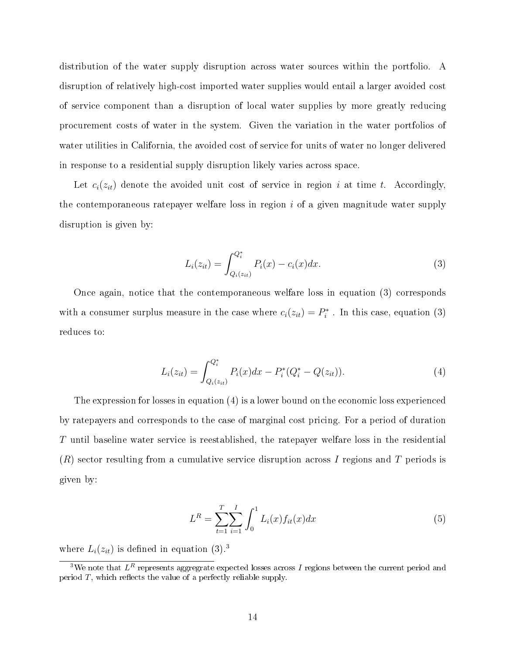distribution of the water supply disruption across water sources within the portfolio. A disruption of relatively high-cost imported water supplies would entail a larger avoided cost of service component than a disruption of local water supplies by more greatly reducing procurement costs of water in the system. Given the variation in the water portfolios of water utilities in California, the avoided cost of service for units of water no longer delivered in response to a residential supply disruption likely varies across space.

Let  $c_i(z_{it})$  denote the avoided unit cost of service in region i at time t. Accordingly, the contemporaneous rate payer welfare loss in region  $i$  of a given magnitude water supply disruption is given by:

$$
L_i(z_{it}) = \int_{Q_i(z_{it})}^{Q_i^*} P_i(x) - c_i(x) dx.
$$
 (3)

Once again, notice that the contemporaneous welfare loss in equation (3) corresponds with a consumer surplus measure in the case where  $c_i(z_{it}) = P_i^*$ . In this case, equation (3) reduces to:

$$
L_i(z_{it}) = \int_{Q_i(z_{it})}^{Q_i^*} P_i(x)dx - P_i^*(Q_i^* - Q(z_{it})).
$$
\n(4)

The expression for losses in equation (4) is a lower bound on the economic loss experienced by ratepayers and corresponds to the case of marginal cost pricing. For a period of duration T until baseline water service is reestablished, the ratepayer welfare loss in the residential  $(R)$  sector resulting from a cumulative service disruption across I regions and T periods is given by:

$$
L^{R} = \sum_{t=1}^{T} \sum_{i=1}^{I} \int_{0}^{1} L_{i}(x) f_{it}(x) dx
$$
\n(5)

where  $L_i(z_{it})$  is defined in equation (3).<sup>3</sup>

 $^3\rm{We}$  note that  $L^R$  represents aggregrate expected losses across  $I$  regions between the current period and period  $T$ , which reflects the value of a perfectly reliable supply.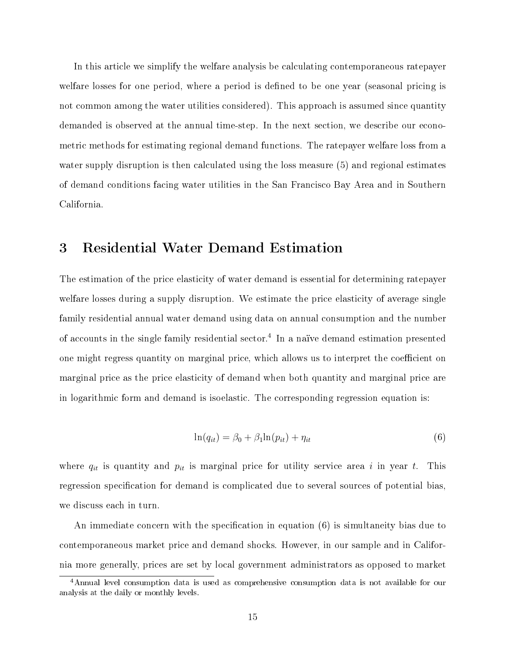In this article we simplify the welfare analysis be calculating contemporaneous ratepayer welfare losses for one period, where a period is defined to be one year (seasonal pricing is not common among the water utilities considered). This approach is assumed since quantity demanded is observed at the annual time-step. In the next section, we describe our econometric methods for estimating regional demand functions. The ratepayer welfare loss from a water supply disruption is then calculated using the loss measure (5) and regional estimates of demand conditions facing water utilities in the San Francisco Bay Area and in Southern California.

## 3 Residential Water Demand Estimation

The estimation of the price elasticity of water demand is essential for determining ratepayer welfare losses during a supply disruption. We estimate the price elasticity of average single family residential annual water demand using data on annual consumption and the number of accounts in the single family residential sector.<sup>4</sup> In a naïve demand estimation presented one might regress quantity on marginal price, which allows us to interpret the coefficient on marginal price as the price elasticity of demand when both quantity and marginal price are in logarithmic form and demand is isoelastic. The corresponding regression equation is:

$$
\ln(q_{it}) = \beta_0 + \beta_1 \ln(p_{it}) + \eta_{it} \tag{6}
$$

where  $q_{it}$  is quantity and  $p_{it}$  is marginal price for utility service area i in year t. This regression specification for demand is complicated due to several sources of potential bias, we discuss each in turn.

An immediate concern with the specification in equation  $(6)$  is simultaneity bias due to contemporaneous market price and demand shocks. However, in our sample and in California more generally, prices are set by local government administrators as opposed to market

<sup>4</sup>Annual level consumption data is used as comprehensive consumption data is not available for our analysis at the daily or monthly levels.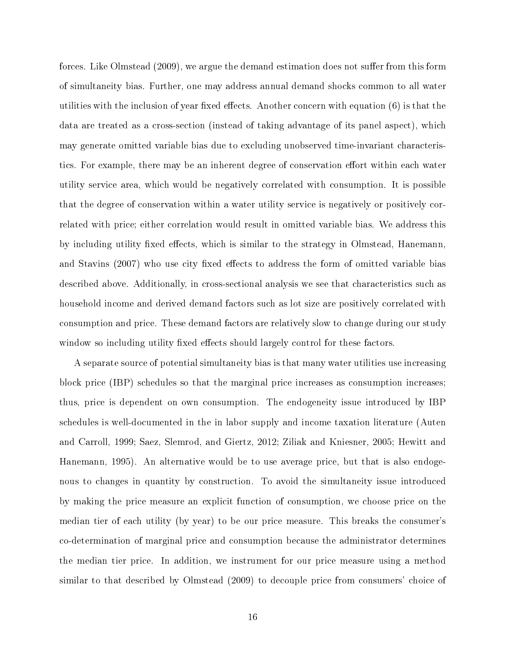forces. Like Olmstead (2009), we argue the demand estimation does not suffer from this form of simultaneity bias. Further, one may address annual demand shocks common to all water utilities with the inclusion of year fixed effects. Another concern with equation  $(6)$  is that the data are treated as a cross-section (instead of taking advantage of its panel aspect), which may generate omitted variable bias due to excluding unobserved time-invariant characteristics. For example, there may be an inherent degree of conservation effort within each water utility service area, which would be negatively correlated with consumption. It is possible that the degree of conservation within a water utility service is negatively or positively correlated with price; either correlation would result in omitted variable bias. We address this by including utility fixed effects, which is similar to the strategy in Olmstead, Hanemann. and Stavins (2007) who use city fixed effects to address the form of omitted variable bias described above. Additionally, in cross-sectional analysis we see that characteristics such as household income and derived demand factors such as lot size are positively correlated with consumption and price. These demand factors are relatively slow to change during our study window so including utility fixed effects should largely control for these factors.

A separate source of potential simultaneity bias is that many water utilities use increasing block price (IBP) schedules so that the marginal price increases as consumption increases; thus, price is dependent on own consumption. The endogeneity issue introduced by IBP schedules is well-documented in the in labor supply and income taxation literature (Auten and Carroll, 1999; Saez, Slemrod, and Giertz, 2012; Ziliak and Kniesner, 2005; Hewitt and Hanemann, 1995). An alternative would be to use average price, but that is also endogenous to changes in quantity by construction. To avoid the simultaneity issue introduced by making the price measure an explicit function of consumption, we choose price on the median tier of each utility (by year) to be our price measure. This breaks the consumer's co-determination of marginal price and consumption because the administrator determines the median tier price. In addition, we instrument for our price measure using a method similar to that described by Olmstead (2009) to decouple price from consumers' choice of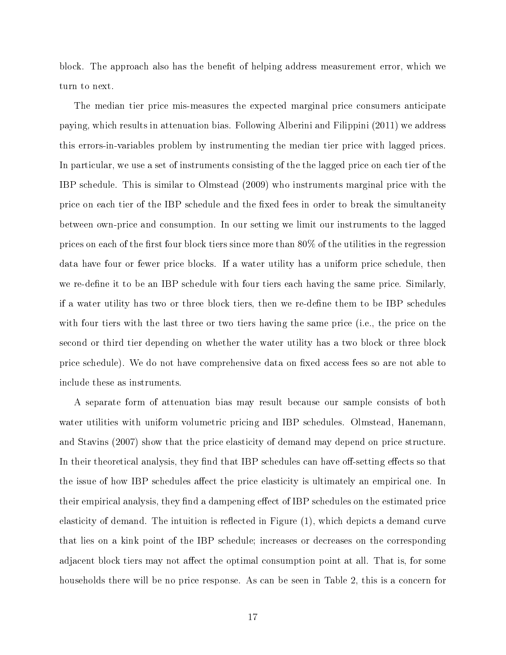block. The approach also has the benefit of helping address measurement error, which we turn to next.

The median tier price mis-measures the expected marginal price consumers anticipate paying, which results in attenuation bias. Following Alberini and Filippini (2011) we address this errors-in-variables problem by instrumenting the median tier price with lagged prices. In particular, we use a set of instruments consisting of the the lagged price on each tier of the IBP schedule. This is similar to Olmstead (2009) who instruments marginal price with the price on each tier of the IBP schedule and the fixed fees in order to break the simultaneity between own-price and consumption. In our setting we limit our instruments to the lagged prices on each of the first four block tiers since more than  $80\%$  of the utilities in the regression data have four or fewer price blocks. If a water utility has a uniform price schedule, then we re-define it to be an IBP schedule with four tiers each having the same price. Similarly, if a water utility has two or three block tiers, then we re-dene them to be IBP schedules with four tiers with the last three or two tiers having the same price (i.e., the price on the second or third tier depending on whether the water utility has a two block or three block price schedule). We do not have comprehensive data on fixed access fees so are not able to include these as instruments.

A separate form of attenuation bias may result because our sample consists of both water utilities with uniform volumetric pricing and IBP schedules. Olmstead, Hanemann, and Stavins (2007) show that the price elasticity of demand may depend on price structure. In their theoretical analysis, they find that IBP schedules can have off-setting effects so that the issue of how IBP schedules affect the price elasticity is ultimately an empirical one. In their empirical analysis, they find a dampening effect of IBP schedules on the estimated price elasticity of demand. The intuition is reflected in Figure  $(1)$ , which depicts a demand curve that lies on a kink point of the IBP schedule; increases or decreases on the corresponding adjacent block tiers may not affect the optimal consumption point at all. That is, for some households there will be no price response. As can be seen in Table 2, this is a concern for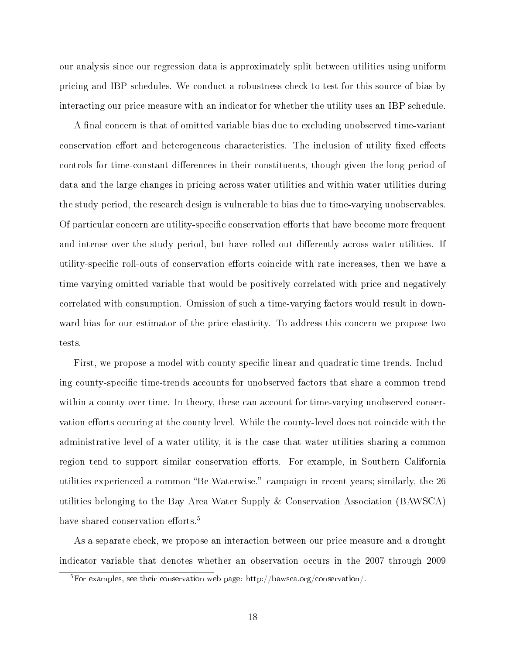our analysis since our regression data is approximately split between utilities using uniform pricing and IBP schedules. We conduct a robustness check to test for this source of bias by interacting our price measure with an indicator for whether the utility uses an IBP schedule.

A final concern is that of omitted variable bias due to excluding unobserved time-variant conservation effort and heterogeneous characteristics. The inclusion of utility fixed effects controls for time-constant differences in their constituents, though given the long period of data and the large changes in pricing across water utilities and within water utilities during the study period, the research design is vulnerable to bias due to time-varying unobservables. Of particular concern are utility-specific conservation efforts that have become more frequent and intense over the study period, but have rolled out differently across water utilities. If utility-specific roll-outs of conservation efforts coincide with rate increases, then we have a time-varying omitted variable that would be positively correlated with price and negatively correlated with consumption. Omission of such a time-varying factors would result in downward bias for our estimator of the price elasticity. To address this concern we propose two tests.

First, we propose a model with county-specific linear and quadratic time trends. Including county-specific time-trends accounts for unobserved factors that share a common trend within a county over time. In theory, these can account for time-varying unobserved conservation efforts occuring at the county level. While the county-level does not coincide with the administrative level of a water utility, it is the case that water utilities sharing a common region tend to support similar conservation efforts. For example, in Southern California utilities experienced a common "Be Waterwise." campaign in recent years; similarly, the 26 utilities belonging to the Bay Area Water Supply & Conservation Association (BAWSCA) have shared conservation efforts.<sup>5</sup>

As a separate check, we propose an interaction between our price measure and a drought indicator variable that denotes whether an observation occurs in the 2007 through 2009

<sup>&</sup>lt;sup>5</sup>For examples, see their conservation web page: http://bawsca.org/conservation/.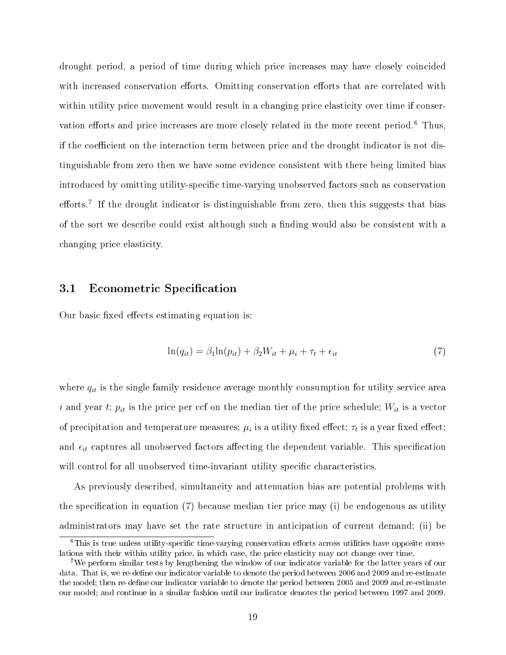drought period, a period of time during which price increases may have closely coincided with increased conservation efforts. Omitting conservation efforts that are correlated with within utility price movement would result in a changing price elasticity over time if conservation efforts and price increases are more closely related in the more recent period.<sup>6</sup> Thus, if the coefficient on the interaction term between price and the drought indicator is not distinguishable from zero then we have some evidence consistent with there being limited bias introduced by omitting utility-specific time-varying unobserved factors such as conservation efforts.<sup>7</sup> If the drought indicator is distinguishable from zero, then this suggests that bias of the sort we describe could exist although such a finding would also be consistent with a changing price elasticity.

### 3.1 Econometric Specification

Our basic fixed effects estimating equation is:

$$
\ln(q_{it}) = \beta_1 \ln(p_{it}) + \beta_2 W_{it} + \mu_i + \tau_t + \epsilon_{it} \tag{7}
$$

where  $q_{it}$  is the single family residence average monthly consumption for utility service area i and year t;  $p_{it}$  is the price per ccf on the median tier of the price schedule;  $W_{it}$  is a vector of precipitation and temperature measures;  $\mu_i$  is a utility fixed effect;  $\tau_t$  is a year fixed effect; and  $\epsilon_{it}$  captures all unobserved factors affecting the dependent variable. This specification will control for all unobserved time-invariant utility specific characteristics.

As previously described, simultaneity and attenuation bias are potential problems with the specification in equation  $(7)$  because median tier price may (i) be endogenous as utility administrators may have set the rate structure in anticipation of current demand; (ii) be

 $6$ This is true unless utility-specific time-varying conservation efforts across utilities have opposite correlations with their within utility price, in which case, the price elasticity may not change over time.

<sup>7</sup>We perform similar tests by lengthening the window of our indicator variable for the latter years of our data. That is, we re-define our indicator variable to denote the period between 2006 and 2009 and re-estimate the model; then re-define our indicator variable to denote the period between 2005 and 2009 and re-estimate our model; and continue in a similar fashion until our indicator denotes the period between 1997 and 2009.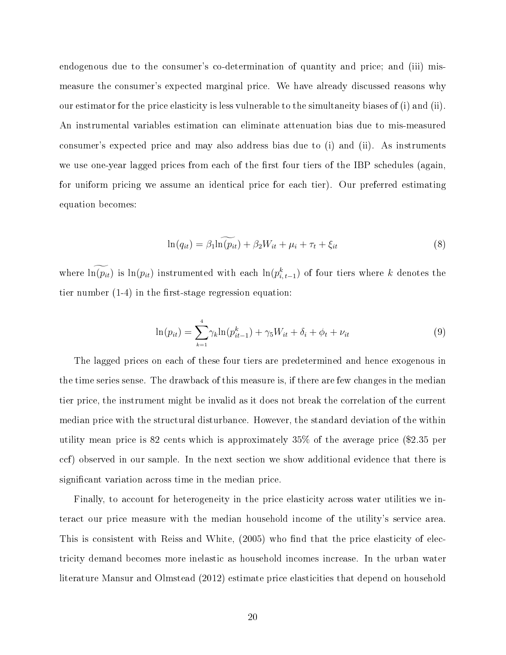endogenous due to the consumer's co-determination of quantity and price; and (iii) mismeasure the consumer's expected marginal price. We have already discussed reasons why our estimator for the price elasticity is less vulnerable to the simultaneity biases of (i) and (ii). An instrumental variables estimation can eliminate attenuation bias due to mis-measured consumer's expected price and may also address bias due to (i) and (ii). As instruments we use one-year lagged prices from each of the first four tiers of the IBP schedules (again, for uniform pricing we assume an identical price for each tier). Our preferred estimating equation becomes:

$$
\ln(q_{it}) = \beta_1 \ln(\widetilde{p_{it}}) + \beta_2 W_{it} + \mu_i + \tau_t + \xi_{it}
$$
\n(8)

where  $\ln(p_{it})$  is  $\ln(p_{it})$  instrumented with each  $\ln(p_{i,t-1}^k)$  of four tiers where k denotes the tier number  $(1-4)$  in the first-stage regression equation:

$$
\ln(p_{it}) = \sum_{k=1}^{4} \gamma_k \ln(p_{it-1}^k) + \gamma_5 W_{it} + \delta_i + \phi_t + \nu_{it}
$$
\n(9)

The lagged prices on each of these four tiers are predetermined and hence exogenous in the time series sense. The drawback of this measure is, if there are few changes in the median tier price, the instrument might be invalid as it does not break the correlation of the current median price with the structural disturbance. However, the standard deviation of the within utility mean price is 82 cents which is approximately 35% of the average price (\$2.35 per ccf) observed in our sample. In the next section we show additional evidence that there is significant variation across time in the median price.

Finally, to account for heterogeneity in the price elasticity across water utilities we interact our price measure with the median household income of the utility's service area. This is consistent with Reiss and White, (2005) who find that the price elasticity of electricity demand becomes more inelastic as household incomes increase. In the urban water literature Mansur and Olmstead (2012) estimate price elasticities that depend on household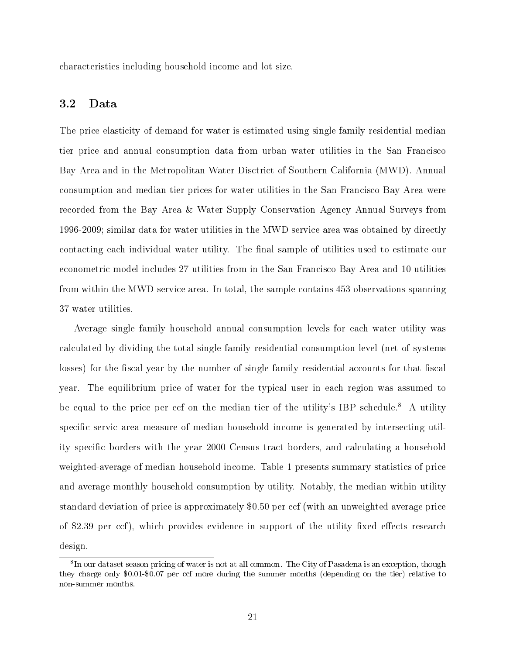characteristics including household income and lot size.

### 3.2 Data

The price elasticity of demand for water is estimated using single family residential median tier price and annual consumption data from urban water utilities in the San Francisco Bay Area and in the Metropolitan Water Disctrict of Southern California (MWD). Annual consumption and median tier prices for water utilities in the San Francisco Bay Area were recorded from the Bay Area & Water Supply Conservation Agency Annual Surveys from 1996-2009; similar data for water utilities in the MWD service area was obtained by directly contacting each individual water utility. The final sample of utilities used to estimate our econometric model includes 27 utilities from in the San Francisco Bay Area and 10 utilities from within the MWD service area. In total, the sample contains 453 observations spanning 37 water utilities.

Average single family household annual consumption levels for each water utility was calculated by dividing the total single family residential consumption level (net of systems losses) for the fiscal year by the number of single family residential accounts for that fiscal year. The equilibrium price of water for the typical user in each region was assumed to be equal to the price per ccf on the median tier of the utility's IBP schedule.<sup>8</sup> A utility specific servic area measure of median household income is generated by intersecting utility specific borders with the year 2000 Census tract borders, and calculating a household weighted-average of median household income. Table 1 presents summary statistics of price and average monthly household consumption by utility. Notably, the median within utility standard deviation of price is approximately \$0.50 per ccf (with an unweighted average price of \$2.39 per ccf), which provides evidence in support of the utility fixed effects research design.

<sup>&</sup>lt;sup>8</sup>In our dataset season pricing of water is not at all common. The City of Pasadena is an exception, though they charge only \$0.01-\$0.07 per ccf more during the summer months (depending on the tier) relative to non-summer months.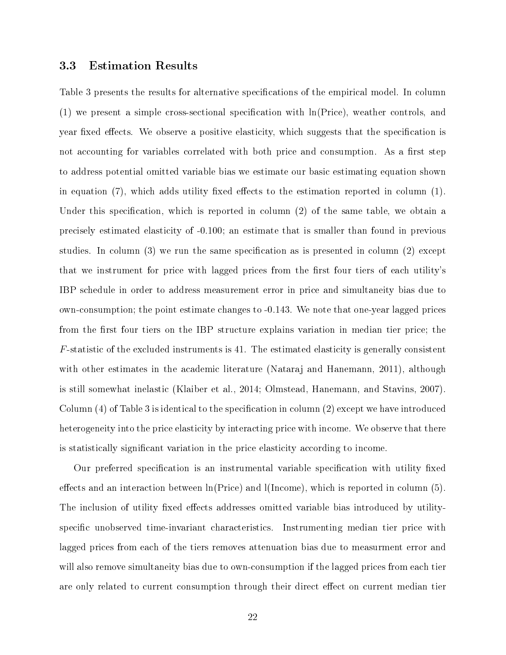#### 3.3 Estimation Results

Table 3 presents the results for alternative specifications of the empirical model. In column  $(1)$  we present a simple cross-sectional specification with  $\ln(\text{Price})$ , weather controls, and year fixed effects. We observe a positive elasticity, which suggests that the specification is not accounting for variables correlated with both price and consumption. As a first step to address potential omitted variable bias we estimate our basic estimating equation shown in equation (7), which adds utility fixed effects to the estimation reported in column  $(1)$ . Under this specification, which is reported in column  $(2)$  of the same table, we obtain a precisely estimated elasticity of -0.100; an estimate that is smaller than found in previous studies. In column (3) we run the same specification as is presented in column (2) except that we instrument for price with lagged prices from the first four tiers of each utility's IBP schedule in order to address measurement error in price and simultaneity bias due to own-consumption; the point estimate changes to -0.143. We note that one-year lagged prices from the first four tiers on the IBP structure explains variation in median tier price; the F-statistic of the excluded instruments is 41. The estimated elasticity is generally consistent with other estimates in the academic literature (Nataraj and Hanemann, 2011), although is still somewhat inelastic (Klaiber et al., 2014; Olmstead, Hanemann, and Stavins, 2007). Column  $(4)$  of Table 3 is identical to the specification in column  $(2)$  except we have introduced heterogeneity into the price elasticity by interacting price with income. We observe that there is statistically signicant variation in the price elasticity according to income.

Our preferred specification is an instrumental variable specification with utility fixed effects and an interaction between  $\ln(\text{Price})$  and  $(\text{Income})$ , which is reported in column (5). The inclusion of utility fixed effects addresses omitted variable bias introduced by utilityspecific unobserved time-invariant characteristics. Instrumenting median tier price with lagged prices from each of the tiers removes attenuation bias due to measurment error and will also remove simultaneity bias due to own-consumption if the lagged prices from each tier are only related to current consumption through their direct effect on current median tier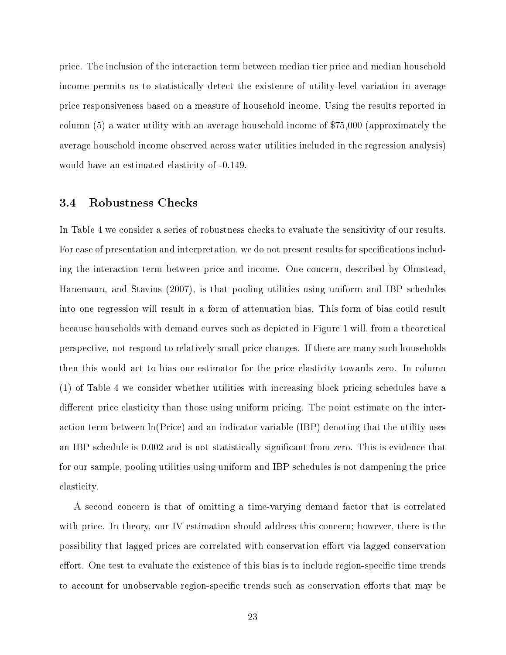price. The inclusion of the interaction term between median tier price and median household income permits us to statistically detect the existence of utility-level variation in average price responsiveness based on a measure of household income. Using the results reported in column (5) a water utility with an average household income of \$75,000 (approximately the average household income observed across water utilities included in the regression analysis) would have an estimated elasticity of -0.149.

#### 3.4 Robustness Checks

In Table 4 we consider a series of robustness checks to evaluate the sensitivity of our results. For ease of presentation and interpretation, we do not present results for specifications including the interaction term between price and income. One concern, described by Olmstead, Hanemann, and Stavins (2007), is that pooling utilities using uniform and IBP schedules into one regression will result in a form of attenuation bias. This form of bias could result because households with demand curves such as depicted in Figure 1 will, from a theoretical perspective, not respond to relatively small price changes. If there are many such households then this would act to bias our estimator for the price elasticity towards zero. In column (1) of Table 4 we consider whether utilities with increasing block pricing schedules have a different price elasticity than those using uniform pricing. The point estimate on the interaction term between ln(Price) and an indicator variable (IBP) denoting that the utility uses an IBP schedule is 0.002 and is not statistically significant from zero. This is evidence that for our sample, pooling utilities using uniform and IBP schedules is not dampening the price elasticity.

A second concern is that of omitting a time-varying demand factor that is correlated with price. In theory, our IV estimation should address this concern; however, there is the possibility that lagged prices are correlated with conservation effort via lagged conservation effort. One test to evaluate the existence of this bias is to include region-specific time trends to account for unobservable region-specific trends such as conservation efforts that may be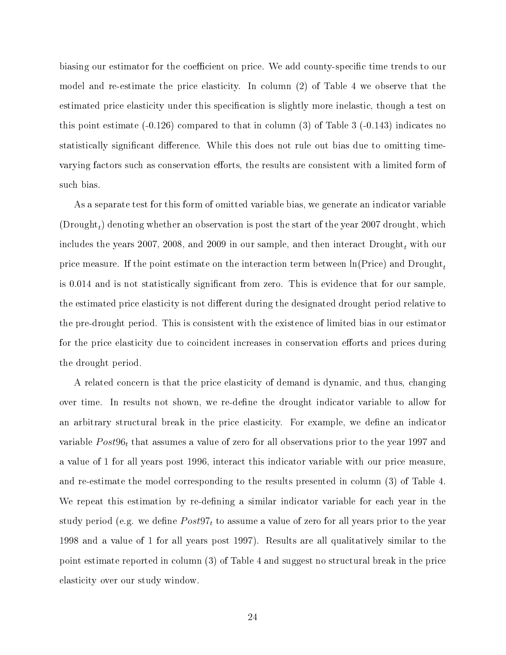biasing our estimator for the coefficient on price. We add county-specific time trends to our model and re-estimate the price elasticity. In column (2) of Table 4 we observe that the estimated price elasticity under this specification is slightly more inelastic, though a test on this point estimate  $(-0.126)$  compared to that in column (3) of Table 3  $(-0.143)$  indicates no statistically significant difference. While this does not rule out bias due to omitting timevarying factors such as conservation efforts, the results are consistent with a limited form of such bias.

As a separate test for this form of omitted variable bias, we generate an indicator variable  $(Drought<sub>t</sub>)$  denoting whether an observation is post the start of the year 2007 drought, which includes the years 2007, 2008, and 2009 in our sample, and then interact  $\text{Drought}_t$  with our price measure. If the point estimate on the interaction term between  $\ln(\text{Price})$  and  $\text{Dropight}_t$ is 0.014 and is not statistically signicant from zero. This is evidence that for our sample, the estimated price elasticity is not different during the designated drought period relative to the pre-drought period. This is consistent with the existence of limited bias in our estimator for the price elasticity due to coincident increases in conservation efforts and prices during the drought period.

A related concern is that the price elasticity of demand is dynamic, and thus, changing over time. In results not shown, we re-define the drought indicator variable to allow for an arbitrary structural break in the price elasticity. For example, we define an indicator variable  $Post96<sub>t</sub>$  that assumes a value of zero for all observations prior to the year 1997 and a value of 1 for all years post 1996, interact this indicator variable with our price measure, and re-estimate the model corresponding to the results presented in column (3) of Table 4. We repeat this estimation by re-defining a similar indicator variable for each year in the study period (e.g. we define  $Post97<sub>t</sub>$  to assume a value of zero for all years prior to the year 1998 and a value of 1 for all years post 1997). Results are all qualitatively similar to the point estimate reported in column (3) of Table 4 and suggest no structural break in the price elasticity over our study window.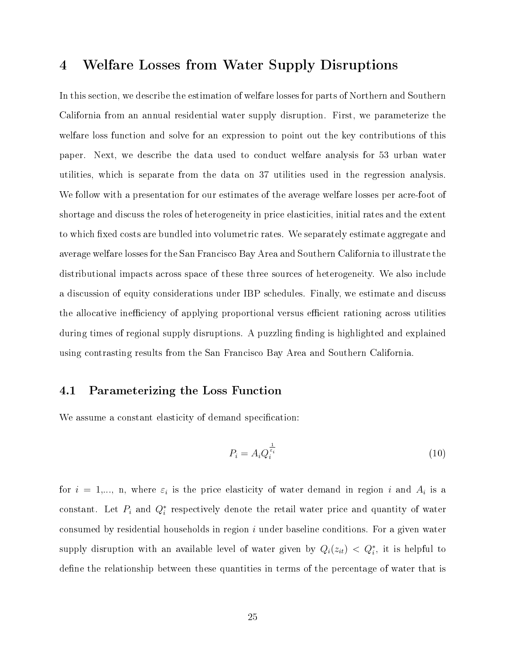## 4 Welfare Losses from Water Supply Disruptions

In this section, we describe the estimation of welfare losses for parts of Northern and Southern California from an annual residential water supply disruption. First, we parameterize the welfare loss function and solve for an expression to point out the key contributions of this paper. Next, we describe the data used to conduct welfare analysis for 53 urban water utilities, which is separate from the data on 37 utilities used in the regression analysis. We follow with a presentation for our estimates of the average welfare losses per acre-foot of shortage and discuss the roles of heterogeneity in price elasticities, initial rates and the extent to which fixed costs are bundled into volumetric rates. We separately estimate aggregate and average welfare losses for the San Francisco Bay Area and Southern California to illustrate the distributional impacts across space of these three sources of heterogeneity. We also include a discussion of equity considerations under IBP schedules. Finally, we estimate and discuss the allocative inefficiency of applying proportional versus efficient rationing across utilities during times of regional supply disruptions. A puzzling finding is highlighted and explained using contrasting results from the San Francisco Bay Area and Southern California.

### 4.1 Parameterizing the Loss Function

We assume a constant elasticity of demand specification:

$$
P_i = A_i Q_i^{\frac{1}{\varepsilon_i}} \tag{10}
$$

for  $i = 1,..., n$ , where  $\varepsilon_i$  is the price elasticity of water demand in region i and  $A_i$  is a constant. Let  $P_i$  and  $Q_i^*$  respectively denote the retail water price and quantity of water consumed by residential households in region  $i$  under baseline conditions. For a given water supply disruption with an available level of water given by  $Q_i(z_{it}) < Q_i^*$ , it is helpful to define the relationship between these quantities in terms of the percentage of water that is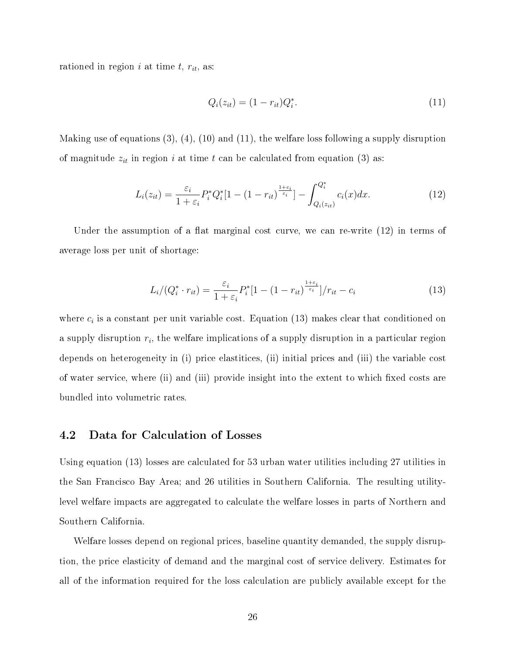rationed in region i at time  $t, r_{it}$ , as:

$$
Q_i(z_{it}) = (1 - r_{it})Q_i^*.
$$
\n(11)

Making use of equations  $(3), (4), (10)$  and  $(11),$  the welfare loss following a supply disruption of magnitude  $z_{it}$  in region i at time t can be calculated from equation (3) as:

$$
L_i(z_{it}) = \frac{\varepsilon_i}{1 + \varepsilon_i} P_i^* Q_i^* [1 - (1 - r_{it})^{\frac{1 + \varepsilon_i}{\varepsilon_i}}] - \int_{Q_i(z_{it})}^{Q_i^*} c_i(x) dx.
$$
 (12)

Under the assumption of a flat marginal cost curve, we can re-write  $(12)$  in terms of average loss per unit of shortage:

$$
L_i/(Q_i^* \cdot r_{it}) = \frac{\varepsilon_i}{1 + \varepsilon_i} P_i^* [1 - (1 - r_{it})^{\frac{1 + \varepsilon_i}{\varepsilon_i}}]/r_{it} - c_i
$$
\n(13)

where  $c_i$  is a constant per unit variable cost. Equation (13) makes clear that conditioned on a supply disruption  $r_i$ , the welfare implications of a supply disruption in a particular region depends on heterogeneity in (i) price elastitices, (ii) initial prices and (iii) the variable cost of water service, where (ii) and (iii) provide insight into the extent to which fixed costs are bundled into volumetric rates.

#### 4.2 Data for Calculation of Losses

Using equation (13) losses are calculated for 53 urban water utilities including 27 utilities in the San Francisco Bay Area; and 26 utilities in Southern California. The resulting utilitylevel welfare impacts are aggregated to calculate the welfare losses in parts of Northern and Southern California.

Welfare losses depend on regional prices, baseline quantity demanded, the supply disruption, the price elasticity of demand and the marginal cost of service delivery. Estimates for all of the information required for the loss calculation are publicly available except for the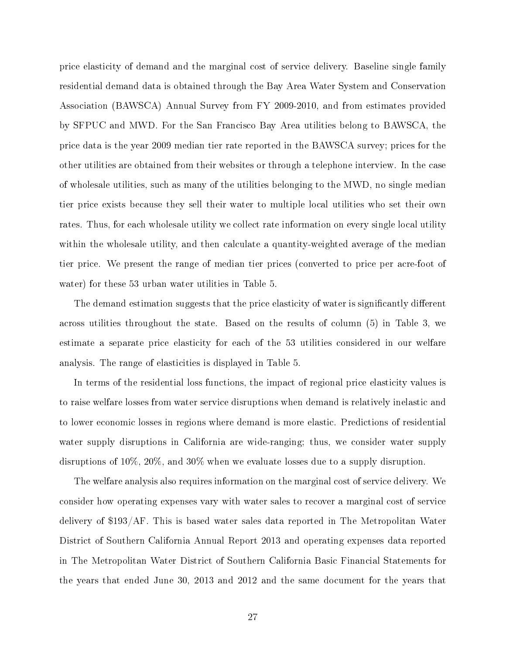price elasticity of demand and the marginal cost of service delivery. Baseline single family residential demand data is obtained through the Bay Area Water System and Conservation Association (BAWSCA) Annual Survey from FY 2009-2010, and from estimates provided by SFPUC and MWD. For the San Francisco Bay Area utilities belong to BAWSCA, the price data is the year 2009 median tier rate reported in the BAWSCA survey; prices for the other utilities are obtained from their websites or through a telephone interview. In the case of wholesale utilities, such as many of the utilities belonging to the MWD, no single median tier price exists because they sell their water to multiple local utilities who set their own rates. Thus, for each wholesale utility we collect rate information on every single local utility within the wholesale utility, and then calculate a quantity-weighted average of the median tier price. We present the range of median tier prices (converted to price per acre-foot of water) for these 53 urban water utilities in Table 5.

The demand estimation suggests that the price elasticity of water is significantly different across utilities throughout the state. Based on the results of column (5) in Table 3, we estimate a separate price elasticity for each of the 53 utilities considered in our welfare analysis. The range of elasticities is displayed in Table 5.

In terms of the residential loss functions, the impact of regional price elasticity values is to raise welfare losses from water service disruptions when demand is relatively inelastic and to lower economic losses in regions where demand is more elastic. Predictions of residential water supply disruptions in California are wide-ranging; thus, we consider water supply disruptions of 10%, 20%, and 30% when we evaluate losses due to a supply disruption.

The welfare analysis also requires information on the marginal cost of service delivery. We consider how operating expenses vary with water sales to recover a marginal cost of service delivery of \$193/AF. This is based water sales data reported in The Metropolitan Water District of Southern California Annual Report 2013 and operating expenses data reported in The Metropolitan Water District of Southern California Basic Financial Statements for the years that ended June 30, 2013 and 2012 and the same document for the years that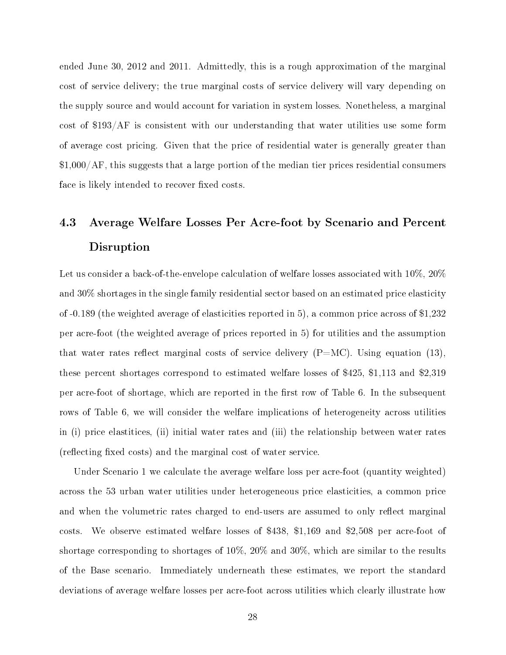ended June 30, 2012 and 2011. Admittedly, this is a rough approximation of the marginal cost of service delivery; the true marginal costs of service delivery will vary depending on the supply source and would account for variation in system losses. Nonetheless, a marginal cost of \$193/AF is consistent with our understanding that water utilities use some form of average cost pricing. Given that the price of residential water is generally greater than \$1,000/AF, this suggests that a large portion of the median tier prices residential consumers face is likely intended to recover fixed costs.

## 4.3 Average Welfare Losses Per Acre-foot by Scenario and Percent Disruption

Let us consider a back-of-the-envelope calculation of welfare losses associated with 10%, 20% and 30% shortages in the single family residential sector based on an estimated price elasticity of -0.189 (the weighted average of elasticities reported in 5), a common price across of \$1,232 per acre-foot (the weighted average of prices reported in 5) for utilities and the assumption that water rates reflect marginal costs of service delivery  $(P=MC)$ . Using equation (13), these percent shortages correspond to estimated welfare losses of \$425, \$1,113 and \$2,319 per acre-foot of shortage, which are reported in the first row of Table 6. In the subsequent rows of Table 6, we will consider the welfare implications of heterogeneity across utilities in (i) price elastitices, (ii) initial water rates and (iii) the relationship between water rates (reflecting fixed costs) and the marginal cost of water service.

Under Scenario 1 we calculate the average welfare loss per acre-foot (quantity weighted) across the 53 urban water utilities under heterogeneous price elasticities, a common price and when the volumetric rates charged to end-users are assumed to only reflect marginal costs. We observe estimated welfare losses of \$438, \$1,169 and \$2,508 per acre-foot of shortage corresponding to shortages of 10%, 20% and 30%, which are similar to the results of the Base scenario. Immediately underneath these estimates, we report the standard deviations of average welfare losses per acre-foot across utilities which clearly illustrate how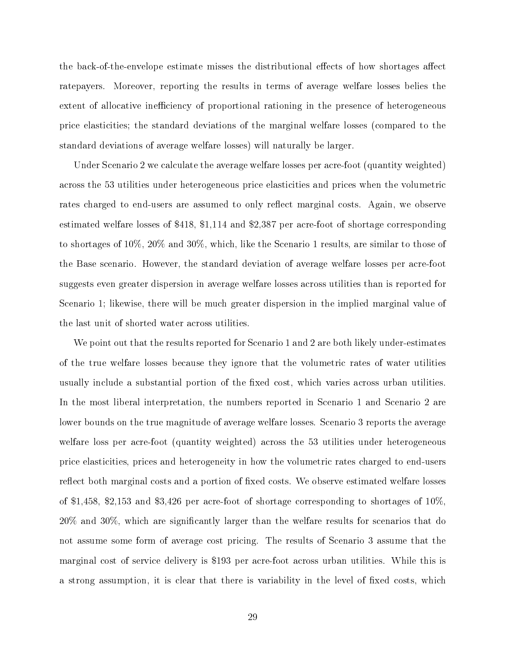the back-of-the-envelope estimate misses the distributional effects of how shortages affect ratepayers. Moreover, reporting the results in terms of average welfare losses belies the extent of allocative inefficiency of proportional rationing in the presence of heterogeneous price elasticities; the standard deviations of the marginal welfare losses (compared to the standard deviations of average welfare losses) will naturally be larger.

Under Scenario 2 we calculate the average welfare losses per acre-foot (quantity weighted) across the 53 utilities under heterogeneous price elasticities and prices when the volumetric rates charged to end-users are assumed to only reflect marginal costs. Again, we observe estimated welfare losses of \$418, \$1,114 and \$2,387 per acre-foot of shortage corresponding to shortages of 10%, 20% and 30%, which, like the Scenario 1 results, are similar to those of the Base scenario. However, the standard deviation of average welfare losses per acre-foot suggests even greater dispersion in average welfare losses across utilities than is reported for Scenario 1; likewise, there will be much greater dispersion in the implied marginal value of the last unit of shorted water across utilities.

We point out that the results reported for Scenario 1 and 2 are both likely under-estimates of the true welfare losses because they ignore that the volumetric rates of water utilities usually include a substantial portion of the fixed cost, which varies across urban utilities. In the most liberal interpretation, the numbers reported in Scenario 1 and Scenario 2 are lower bounds on the true magnitude of average welfare losses. Scenario 3 reports the average welfare loss per acre-foot (quantity weighted) across the 53 utilities under heterogeneous price elasticities, prices and heterogeneity in how the volumetric rates charged to end-users reflect both marginal costs and a portion of fixed costs. We observe estimated welfare losses of \$1,458, \$2,153 and \$3,426 per acre-foot of shortage corresponding to shortages of 10%, 20% and 30%, which are signicantly larger than the welfare results for scenarios that do not assume some form of average cost pricing. The results of Scenario 3 assume that the marginal cost of service delivery is \$193 per acre-foot across urban utilities. While this is a strong assumption, it is clear that there is variability in the level of fixed costs, which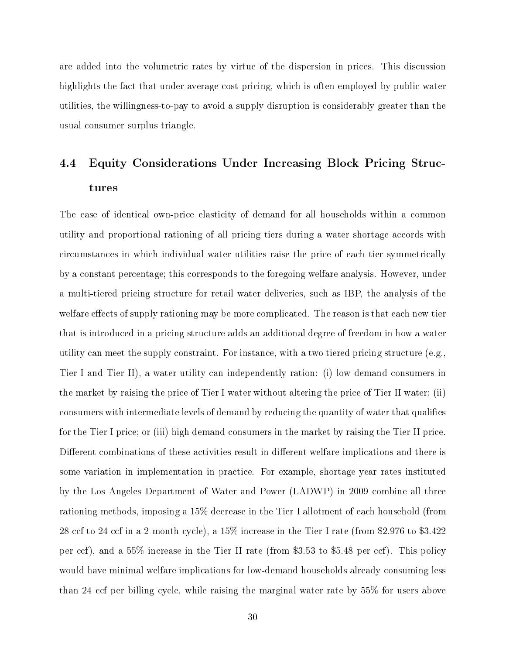are added into the volumetric rates by virtue of the dispersion in prices. This discussion highlights the fact that under average cost pricing, which is often employed by public water utilities, the willingness-to-pay to avoid a supply disruption is considerably greater than the usual consumer surplus triangle.

## 4.4 Equity Considerations Under Increasing Block Pricing Structures

The case of identical own-price elasticity of demand for all households within a common utility and proportional rationing of all pricing tiers during a water shortage accords with circumstances in which individual water utilities raise the price of each tier symmetrically by a constant percentage; this corresponds to the foregoing welfare analysis. However, under a multi-tiered pricing structure for retail water deliveries, such as IBP, the analysis of the welfare effects of supply rationing may be more complicated. The reason is that each new tier that is introduced in a pricing structure adds an additional degree of freedom in how a water utility can meet the supply constraint. For instance, with a two tiered pricing structure (e.g., Tier I and Tier II), a water utility can independently ration: (i) low demand consumers in the market by raising the price of Tier I water without altering the price of Tier II water; (ii) consumers with intermediate levels of demand by reducing the quantity of water that qualies for the Tier I price; or (iii) high demand consumers in the market by raising the Tier II price. Different combinations of these activities result in different welfare implications and there is some variation in implementation in practice. For example, shortage year rates instituted by the Los Angeles Department of Water and Power (LADWP) in 2009 combine all three rationing methods, imposing a 15% decrease in the Tier I allotment of each household (from 28 ccf to 24 ccf in a 2-month cycle), a 15% increase in the Tier I rate (from \$2.976 to \$3.422 per ccf), and a 55% increase in the Tier II rate (from \$3.53 to \$5.48 per ccf). This policy would have minimal welfare implications for low-demand households already consuming less than 24 ccf per billing cycle, while raising the marginal water rate by 55% for users above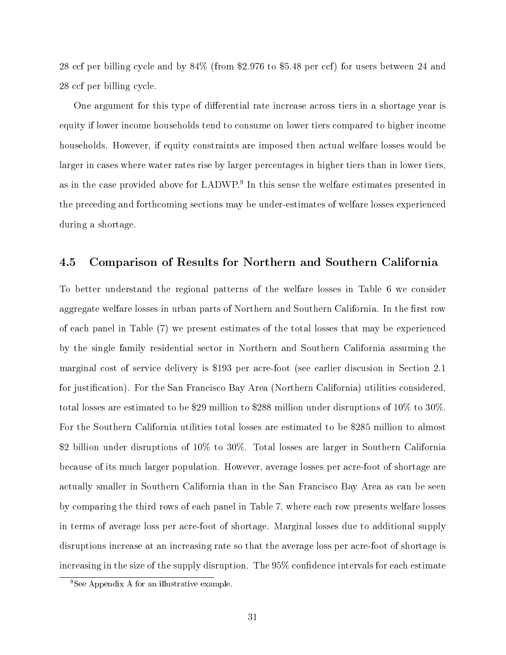28 ccf per billing cycle and by 84% (from \$2.976 to \$5.48 per ccf) for users between 24 and 28 ccf per billing cycle.

One argument for this type of differential rate increase across tiers in a shortage year is equity if lower income households tend to consume on lower tiers compared to higher income households. However, if equity constraints are imposed then actual welfare losses would be larger in cases where water rates rise by larger percentages in higher tiers than in lower tiers, as in the case provided above for LADWP.<sup>9</sup> In this sense the welfare estimates presented in the preceding and forthcoming sections may be under-estimates of welfare losses experienced during a shortage.

#### 4.5 Comparison of Results for Northern and Southern California

To better understand the regional patterns of the welfare losses in Table 6 we consider aggregate welfare losses in urban parts of Northern and Southern California. In the first row of each panel in Table (7) we present estimates of the total losses that may be experienced by the single family residential sector in Northern and Southern California assuming the marginal cost of service delivery is \$193 per acre-foot (see earlier discusion in Section 2.1 for justication). For the San Francisco Bay Area (Northern California) utilities considered, total losses are estimated to be \$29 million to \$288 million under disruptions of 10% to 30%. For the Southern California utilities total losses are estimated to be \$285 million to almost \$2 billion under disruptions of 10% to 30%. Total losses are larger in Southern California because of its much larger population. However, average losses per acre-foot of shortage are actually smaller in Southern California than in the San Francisco Bay Area as can be seen by comparing the third rows of each panel in Table 7, where each row presents welfare losses in terms of average loss per acre-foot of shortage. Marginal losses due to additional supply disruptions increase at an increasing rate so that the average loss per acre-foot of shortage is increasing in the size of the supply disruption. The  $95\%$  confidence intervals for each estimate

<sup>9</sup>See Appendix A for an illustrative example.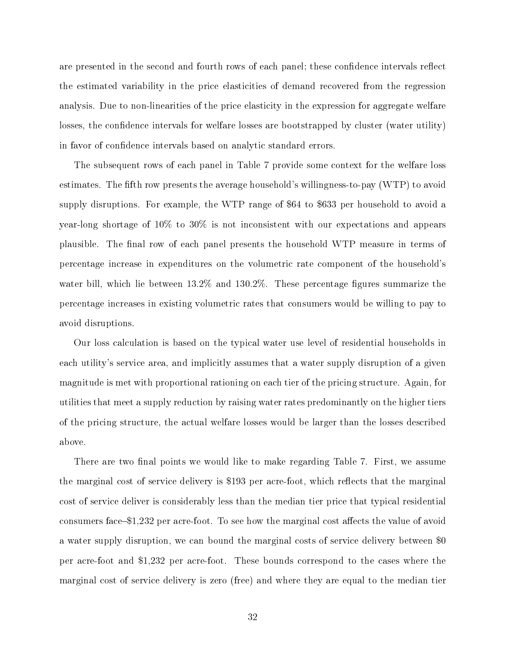are presented in the second and fourth rows of each panel; these confidence intervals reflect the estimated variability in the price elasticities of demand recovered from the regression analysis. Due to non-linearities of the price elasticity in the expression for aggregate welfare losses, the confidence intervals for welfare losses are bootstrapped by cluster (water utility) in favor of confidence intervals based on analytic standard errors.

The subsequent rows of each panel in Table 7 provide some context for the welfare loss estimates. The fth row presents the average household's willingness-to-pay (WTP) to avoid supply disruptions. For example, the WTP range of \$64 to \$633 per household to avoid a year-long shortage of 10% to 30% is not inconsistent with our expectations and appears plausible. The nal row of each panel presents the household WTP measure in terms of percentage increase in expenditures on the volumetric rate component of the household's water bill, which lie between  $13.2\%$  and  $130.2\%$ . These percentage figures summarize the percentage increases in existing volumetric rates that consumers would be willing to pay to avoid disruptions.

Our loss calculation is based on the typical water use level of residential households in each utility's service area, and implicitly assumes that a water supply disruption of a given magnitude is met with proportional rationing on each tier of the pricing structure. Again, for utilities that meet a supply reduction by raising water rates predominantly on the higher tiers of the pricing structure, the actual welfare losses would be larger than the losses described above.

There are two final points we would like to make regarding Table 7. First, we assume the marginal cost of service delivery is \$193 per acre-foot, which reflects that the marginal cost of service deliver is considerably less than the median tier price that typical residential consumers face  $$1,232$  per acre-foot. To see how the marginal cost affects the value of avoid a water supply disruption, we can bound the marginal costs of service delivery between \$0 per acre-foot and \$1,232 per acre-foot. These bounds correspond to the cases where the marginal cost of service delivery is zero (free) and where they are equal to the median tier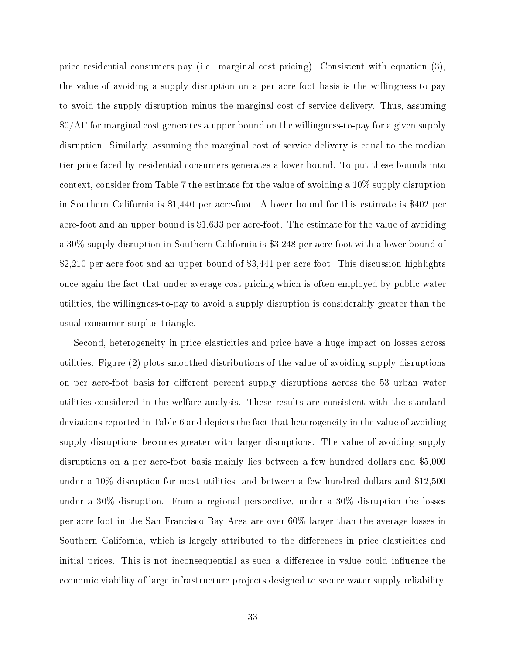price residential consumers pay (i.e. marginal cost pricing). Consistent with equation (3), the value of avoiding a supply disruption on a per acre-foot basis is the willingness-to-pay to avoid the supply disruption minus the marginal cost of service delivery. Thus, assuming \$0/AF for marginal cost generates a upper bound on the willingness-to-pay for a given supply disruption. Similarly, assuming the marginal cost of service delivery is equal to the median tier price faced by residential consumers generates a lower bound. To put these bounds into context, consider from Table 7 the estimate for the value of avoiding a 10% supply disruption in Southern California is \$1,440 per acre-foot. A lower bound for this estimate is \$402 per acre-foot and an upper bound is \$1,633 per acre-foot. The estimate for the value of avoiding a 30% supply disruption in Southern California is \$3,248 per acre-foot with a lower bound of \$2,210 per acre-foot and an upper bound of \$3,441 per acre-foot. This discussion highlights once again the fact that under average cost pricing which is often employed by public water utilities, the willingness-to-pay to avoid a supply disruption is considerably greater than the usual consumer surplus triangle.

Second, heterogeneity in price elasticities and price have a huge impact on losses across utilities. Figure (2) plots smoothed distributions of the value of avoiding supply disruptions on per acre-foot basis for different percent supply disruptions across the 53 urban water utilities considered in the welfare analysis. These results are consistent with the standard deviations reported in Table 6 and depicts the fact that heterogeneity in the value of avoiding supply disruptions becomes greater with larger disruptions. The value of avoiding supply disruptions on a per acre-foot basis mainly lies between a few hundred dollars and \$5,000 under a 10% disruption for most utilities; and between a few hundred dollars and \$12,500 under a 30% disruption. From a regional perspective, under a 30% disruption the losses per acre foot in the San Francisco Bay Area are over 60% larger than the average losses in Southern California, which is largely attributed to the differences in price elasticities and initial prices. This is not inconsequential as such a difference in value could influence the economic viability of large infrastructure projects designed to secure water supply reliability.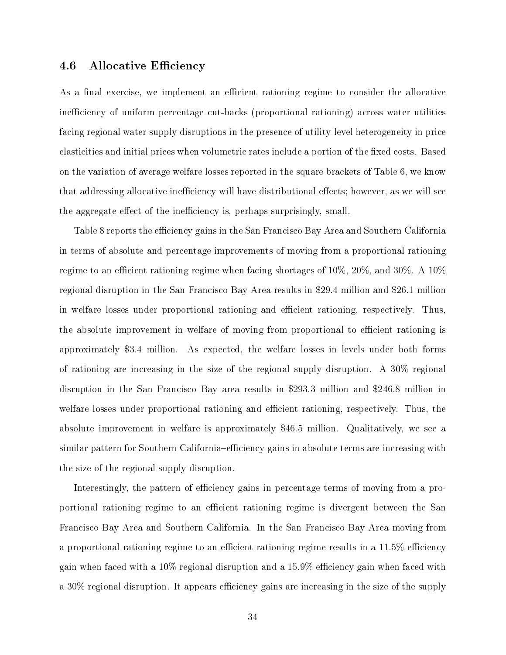### 4.6 Allocative Efficiency

As a final exercise, we implement an efficient rationing regime to consider the allocative inefficiency of uniform percentage cut-backs (proportional rationing) across water utilities facing regional water supply disruptions in the presence of utility-level heterogeneity in price elasticities and initial prices when volumetric rates include a portion of the fixed costs. Based on the variation of average welfare losses reported in the square brackets of Table 6, we know that addressing allocative inefficiency will have distributional effects; however, as we will see the aggregate effect of the inefficiency is, perhaps surprisingly, small.

Table 8 reports the efficiency gains in the San Francisco Bay Area and Southern California in terms of absolute and percentage improvements of moving from a proportional rationing regime to an efficient rationing regime when facing shortages of  $10\%$ ,  $20\%$ , and  $30\%$ . A  $10\%$ regional disruption in the San Francisco Bay Area results in \$29.4 million and \$26.1 million in welfare losses under proportional rationing and efficient rationing, respectively. Thus, the absolute improvement in welfare of moving from proportional to efficient rationing is approximately \$3.4 million. As expected, the welfare losses in levels under both forms of rationing are increasing in the size of the regional supply disruption. A 30% regional disruption in the San Francisco Bay area results in \$293.3 million and \$246.8 million in welfare losses under proportional rationing and efficient rationing, respectively. Thus, the absolute improvement in welfare is approximately \$46.5 million. Qualitatively, we see a similar pattern for Southern California–efficiency gains in absolute terms are increasing with the size of the regional supply disruption.

Interestingly, the pattern of efficiency gains in percentage terms of moving from a proportional rationing regime to an efficient rationing regime is divergent between the San Francisco Bay Area and Southern California. In the San Francisco Bay Area moving from a proportional rationing regime to an efficient rationing regime results in a  $11.5\%$  efficiency gain when faced with a  $10\%$  regional disruption and a  $15.9\%$  efficiency gain when faced with a 30% regional disruption. It appears efficiency gains are increasing in the size of the supply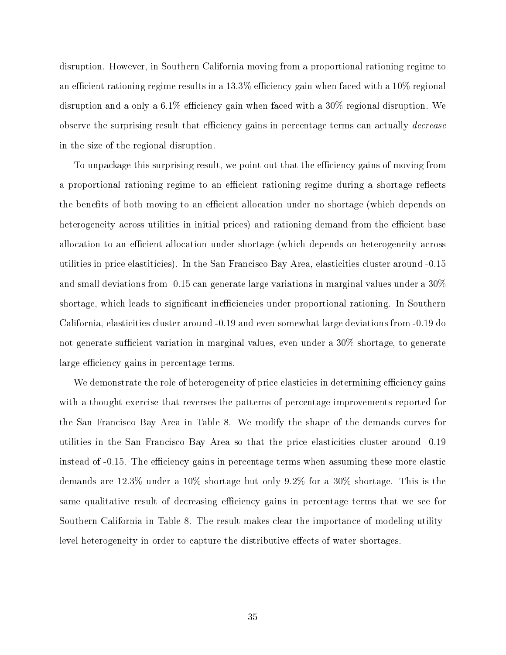disruption. However, in Southern California moving from a proportional rationing regime to an efficient rationing regime results in a  $13.3\%$  efficiency gain when faced with a  $10\%$  regional disruption and a only a  $6.1\%$  efficiency gain when faced with a  $30\%$  regional disruption. We observe the surprising result that efficiency gains in percentage terms can actually *decrease* in the size of the regional disruption.

To unpackage this surprising result, we point out that the efficiency gains of moving from a proportional rationing regime to an efficient rationing regime during a shortage reflects the benefits of both moving to an efficient allocation under no shortage (which depends on heterogeneity across utilities in initial prices) and rationing demand from the efficient base allocation to an efficient allocation under shortage (which depends on heterogeneity across utilities in price elastiticies). In the San Francisco Bay Area, elasticities cluster around -0.15 and small deviations from -0.15 can generate large variations in marginal values under a 30% shortage, which leads to significant inefficiencies under proportional rationing. In Southern California, elasticities cluster around -0.19 and even somewhat large deviations from -0.19 do not generate sufficient variation in marginal values, even under a  $30\%$  shortage, to generate large efficiency gains in percentage terms.

We demonstrate the role of heterogeneity of price elasticies in determining efficiency gains with a thought exercise that reverses the patterns of percentage improvements reported for the San Francisco Bay Area in Table 8. We modify the shape of the demands curves for utilities in the San Francisco Bay Area so that the price elasticities cluster around -0.19 instead of -0.15. The efficiency gains in percentage terms when assuming these more elastic demands are 12.3% under a 10% shortage but only 9.2% for a 30% shortage. This is the same qualitative result of decreasing efficiency gains in percentage terms that we see for Southern California in Table 8. The result makes clear the importance of modeling utilitylevel heterogeneity in order to capture the distributive effects of water shortages.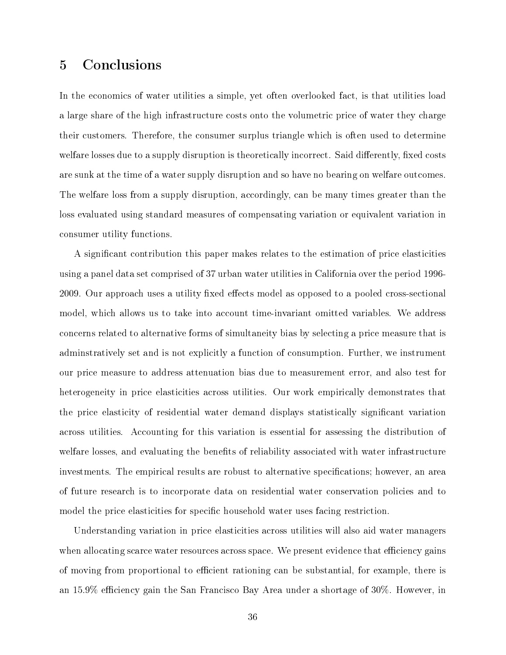## 5 Conclusions

In the economics of water utilities a simple, yet often overlooked fact, is that utilities load a large share of the high infrastructure costs onto the volumetric price of water they charge their customers. Therefore, the consumer surplus triangle which is often used to determine welfare losses due to a supply disruption is theoretically incorrect. Said differently, fixed costs are sunk at the time of a water supply disruption and so have no bearing on welfare outcomes. The welfare loss from a supply disruption, accordingly, can be many times greater than the loss evaluated using standard measures of compensating variation or equivalent variation in consumer utility functions.

A signicant contribution this paper makes relates to the estimation of price elasticities using a panel data set comprised of 37 urban water utilities in California over the period 1996- 2009. Our approach uses a utility fixed effects model as opposed to a pooled cross-sectional model, which allows us to take into account time-invariant omitted variables. We address concerns related to alternative forms of simultaneity bias by selecting a price measure that is adminstratively set and is not explicitly a function of consumption. Further, we instrument our price measure to address attenuation bias due to measurement error, and also test for heterogeneity in price elasticities across utilities. Our work empirically demonstrates that the price elasticity of residential water demand displays statistically signicant variation across utilities. Accounting for this variation is essential for assessing the distribution of welfare losses, and evaluating the benefits of reliability associated with water infrastructure investments. The empirical results are robust to alternative specifications; however, an area of future research is to incorporate data on residential water conservation policies and to model the price elasticities for specific household water uses facing restriction.

Understanding variation in price elasticities across utilities will also aid water managers when allocating scarce water resources across space. We present evidence that efficiency gains of moving from proportional to efficient rationing can be substantial, for example, there is an  $15.9\%$  efficiency gain the San Francisco Bay Area under a shortage of  $30\%$ . However, in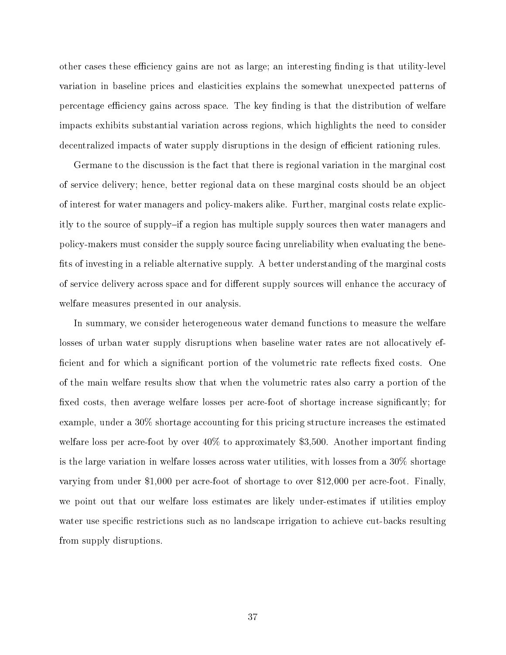other cases these efficiency gains are not as large; an interesting finding is that utility-level variation in baseline prices and elasticities explains the somewhat unexpected patterns of percentage efficiency gains across space. The key finding is that the distribution of welfare impacts exhibits substantial variation across regions, which highlights the need to consider decentralized impacts of water supply disruptions in the design of efficient rationing rules.

Germane to the discussion is the fact that there is regional variation in the marginal cost of service delivery; hence, better regional data on these marginal costs should be an object of interest for water managers and policy-makers alike. Further, marginal costs relate explicitly to the source of supply-if a region has multiple supply sources then water managers and policy-makers must consider the supply source facing unreliability when evaluating the bene fits of investing in a reliable alternative supply. A better understanding of the marginal costs of service delivery across space and for different supply sources will enhance the accuracy of welfare measures presented in our analysis.

In summary, we consider heterogeneous water demand functions to measure the welfare losses of urban water supply disruptions when baseline water rates are not allocatively ef ficient and for which a significant portion of the volumetric rate reflects fixed costs. One of the main welfare results show that when the volumetric rates also carry a portion of the fixed costs, then average welfare losses per acre-foot of shortage increase significantly; for example, under a 30% shortage accounting for this pricing structure increases the estimated welfare loss per acre-foot by over  $40\%$  to approximately \$3,500. Another important finding is the large variation in welfare losses across water utilities, with losses from a 30% shortage varying from under \$1,000 per acre-foot of shortage to over \$12,000 per acre-foot. Finally, we point out that our welfare loss estimates are likely under-estimates if utilities employ water use specific restrictions such as no landscape irrigation to achieve cut-backs resulting from supply disruptions.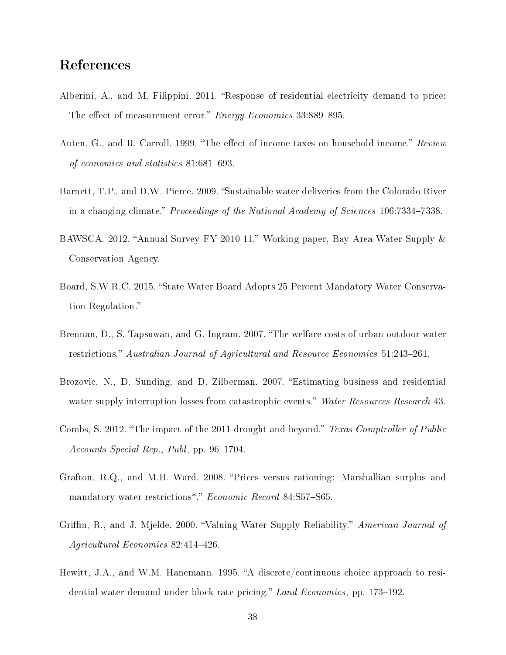## References

- Alberini, A., and M. Filippini. 2011. "Response of residential electricity demand to price: The effect of measurement error." *Energy Economics* 33:889-895.
- Auten, G., and R. Carroll. 1999. "The effect of income taxes on household income." Review of economics and statistics  $81:681-693$ .
- Barnett, T.P., and D.W. Pierce. 2009. "Sustainable water deliveries from the Colorado River in a changing climate." Proceedings of the National Academy of Sciences  $106:7334-7338$ .
- BAWSCA. 2012. "Annual Survey FY 2010-11." Working paper, Bay Area Water Supply & Conservation Agency.
- Board, S.W.R.C. 2015. "State Water Board Adopts 25 Percent Mandatory Water Conservation Regulation.
- Brennan, D., S. Tapsuwan, and G. Ingram. 2007. "The welfare costs of urban outdoor water restrictions." Australian Journal of Agricultural and Resource Economics 51:243-261.
- Brozovic, N., D. Sunding, and D. Zilberman. 2007. "Estimating business and residential water supply interruption losses from catastrophic events." Water Resources Research 43.
- Combs, S. 2012. "The impact of the 2011 drought and beyond." Texas Comptroller of Public Accounts Special Rep., Publ, pp. 96–1704.
- Grafton, R.Q., and M.B. Ward. 2008. "Prices versus rationing: Marshallian surplus and mandatory water restrictions<sup>\*</sup>." Economic Record 84:S57-S65.
- Griffin, R., and J. Mjelde. 2000. "Valuing Water Supply Reliability." American Journal of Agricultural Economics  $82:414-426$ .
- Hewitt, J.A., and W.M. Hanemann. 1995. "A discrete/continuous choice approach to residential water demand under block rate pricing." Land Economics, pp. 173–192.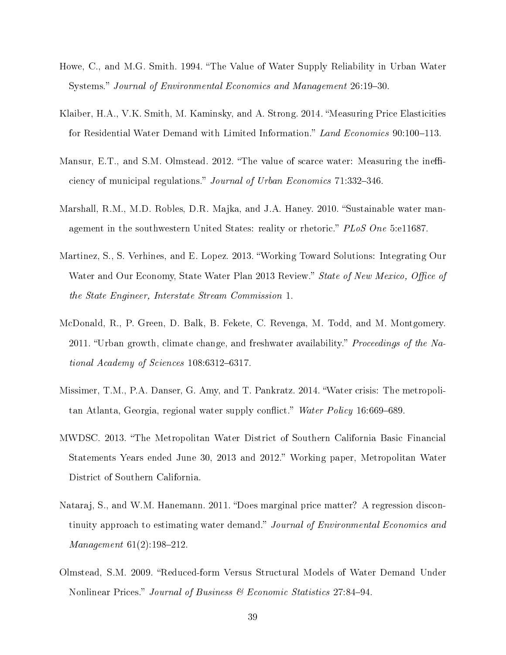- Howe, C., and M.G. Smith. 1994. "The Value of Water Supply Reliability in Urban Water Systems." Journal of Environmental Economics and Management 26:19-30.
- Klaiber, H.A., V.K. Smith, M. Kaminsky, and A. Strong. 2014. "Measuring Price Elasticities for Residential Water Demand with Limited Information." Land Economics 90:100-113.
- Mansur, E.T., and S.M. Olmstead. 2012. "The value of scarce water: Measuring the inefficiency of municipal regulations." Journal of Urban Economics 71:332-346.
- Marshall, R.M., M.D. Robles, D.R. Majka, and J.A. Haney. 2010. "Sustainable water management in the southwestern United States: reality or rhetoric."  $PLoS$  One 5:e11687.
- Martinez, S., S. Verhines, and E. Lopez. 2013. Working Toward Solutions: Integrating Our Water and Our Economy, State Water Plan 2013 Review." State of New Mexico, Office of the State Engineer, Interstate Stream Commission 1.
- McDonald, R., P. Green, D. Balk, B. Fekete, C. Revenga, M. Todd, and M. Montgomery. 2011. "Urban growth, climate change, and freshwater availability." Proceedings of the National Academy of Sciences  $108:6312-6317$ .
- Missimer, T.M., P.A. Danser, G. Amy, and T. Pankratz. 2014. Water crisis: The metropolitan Atlanta, Georgia, regional water supply conflict." Water Policy 16:669–689.
- MWDSC. 2013. The Metropolitan Water District of Southern California Basic Financial Statements Years ended June 30, 2013 and 2012. Working paper, Metropolitan Water District of Southern California.
- Nataraj, S., and W.M. Hanemann. 2011. "Does marginal price matter? A regression discontinuity approach to estimating water demand." Journal of Environmental Economics and  $Management 61(2):198-212.$
- Olmstead, S.M. 2009. "Reduced-form Versus Structural Models of Water Demand Under Nonlinear Prices." Journal of Business & Economic Statistics 27:84-94.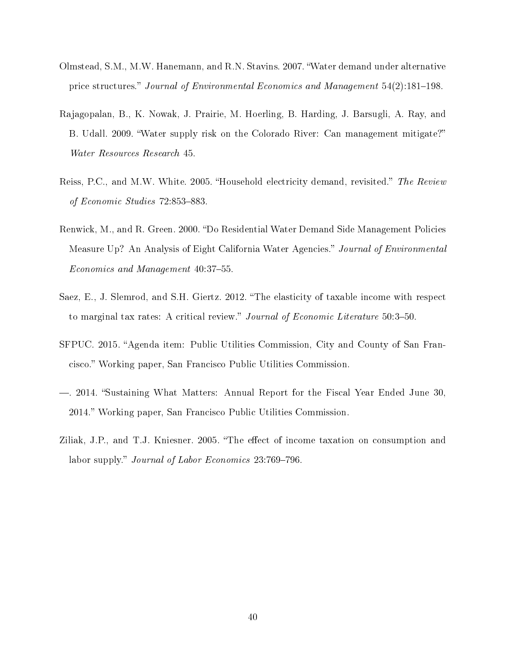- Olmstead, S.M., M.W. Hanemann, and R.N. Stavins. 2007. Water demand under alternative price structures." Journal of Environmental Economics and Management  $54(2)$ :181–198.
- Rajagopalan, B., K. Nowak, J. Prairie, M. Hoerling, B. Harding, J. Barsugli, A. Ray, and B. Udall. 2009. Water supply risk on the Colorado River: Can management mitigate? Water Resources Research 45.
- Reiss, P.C., and M.W. White. 2005. "Household electricity demand, revisited." The Review of Economic Studies 72:853-883.
- Renwick, M., and R. Green. 2000. "Do Residential Water Demand Side Management Policies Measure Up? An Analysis of Eight California Water Agencies." Journal of Environmental Economics and Management 40:37-55.
- Saez, E., J. Slemrod, and S.H. Giertz. 2012. The elasticity of taxable income with respect to marginal tax rates: A critical review." Journal of Economic Literature 50:3-50.
- SFPUC. 2015. "Agenda item: Public Utilities Commission, City and County of San Francisco. Working paper, San Francisco Public Utilities Commission.
- . 2014. Sustaining What Matters: Annual Report for the Fiscal Year Ended June 30, 2014. Working paper, San Francisco Public Utilities Commission.
- Ziliak, J.P., and T.J. Kniesner. 2005. "The effect of income taxation on consumption and labor supply." *Journal of Labor Economics*  $23:769-796$ .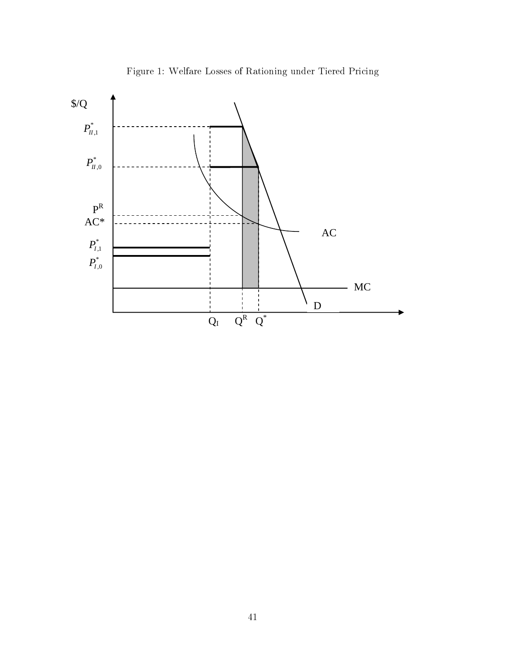

Figure 1: Welfare Losses of Rationing under Tiered Pricing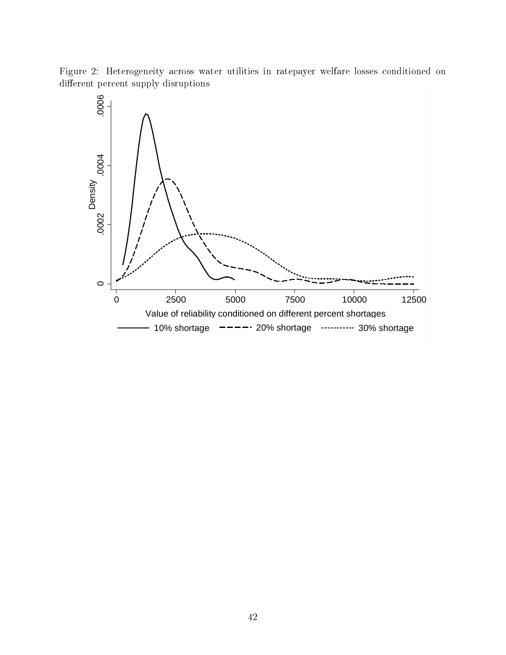Figure 2: Heterogeneity across water utilities in ratepayer welfare losses conditioned on different percent supply disruptions

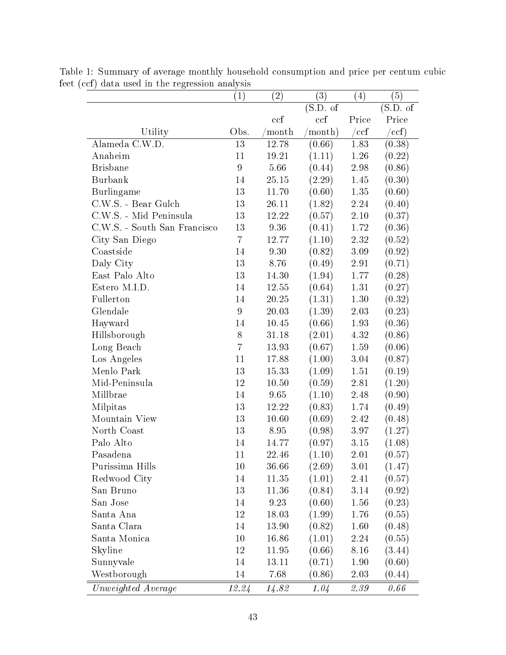|                              | $\left( 1\right)$ | $\left( 2\right)$ | (3)             | $\left( 4\right)$ | (5)                           |
|------------------------------|-------------------|-------------------|-----------------|-------------------|-------------------------------|
|                              |                   |                   | (S.D. of        |                   | $\overline{\text{(S.D. of)}}$ |
|                              |                   | ccf               | ccf             | Price             | Price                         |
| Utility                      | Obs.              | month             | $\gamma$ month) | $/{\mathrm{ccf}}$ | $/{\rm ccf)}$                 |
| Alameda C.W.D.               | 13                | 12.78             | (0.66)          | 1.83              | (0.38)                        |
| Anaheim                      | 11                | 19.21             | (1.11)          | $1.26\,$          | (0.22)                        |
| <b>Brisbane</b>              | 9                 | 5.66              | (0.44)          | 2.98              | (0.86)                        |
| <b>Burbank</b>               | 14                | 25.15             | (2.29)          | 1.45              | (0.30)                        |
| Burlingame                   | 13                | 11.70             | (0.60)          | 1.35              | (0.60)                        |
| C.W.S. - Bear Gulch          | 13                | 26.11             | (1.82)          | 2.24              | (0.40)                        |
| C.W.S. - Mid Peninsula       | 13                | 12.22             | (0.57)          | 2.10              | (0.37)                        |
| C.W.S. - South San Francisco | 13                | 9.36              | (0.41)          | 1.72              | (0.36)                        |
| City San Diego               | $\overline{7}$    | 12.77             | (1.10)          | 2.32              | (0.52)                        |
| Coastside                    | 14                | 9.30              | (0.82)          | 3.09              | (0.92)                        |
| Daly City                    | 13                | 8.76              | (0.49)          | 2.91              | (0.71)                        |
| East Palo Alto               | 13                | 14.30             | (1.94)          | 1.77              | (0.28)                        |
| Estero M.I.D.                | 14                | 12.55             | (0.64)          | 1.31              | (0.27)                        |
| Fullerton                    | 14                | 20.25             | (1.31)          | 1.30              | (0.32)                        |
| Glendale                     | 9                 | 20.03             | (1.39)          | 2.03              | (0.23)                        |
| Hayward                      | 14                | 10.45             | (0.66)          | 1.93              | (0.36)                        |
| Hillsborough                 | 8                 | 31.18             | (2.01)          | 4.32              | (0.86)                        |
| Long Beach                   | $\overline{7}$    | 13.93             | (0.67)          | 1.59              | (0.06)                        |
| Los Angeles                  | 11                | 17.88             | (1.00)          | 3.04              | (0.87)                        |
| Menlo Park                   | 13                | 15.33             | (1.09)          | 1.51              | (0.19)                        |
| Mid-Peninsula                | 12                | 10.50             | (0.59)          | $2.81\,$          | (1.20)                        |
| Millbrae                     | 14                | 9.65              | (1.10)          | 2.48              | (0.90)                        |
| Milpitas                     | 13                | 12.22             | (0.83)          | 1.74              | (0.49)                        |
| Mountain View                | 13                | 10.60             | (0.69)          | 2.42              | (0.48)                        |
| North Coast                  | 13                | 8.95              | (0.98)          | 3.97              | (1.27)                        |
| Palo Alto                    | 14                | 14.77             | (0.97)          | 3.15              | (1.08)                        |
| Pasadena                     | 11                | 22.46             | (1.10)          | $2.01\,$          | (0.57)                        |
| Purissima Hills              | 10                | 36.66             | (2.69)          | 3.01              | (1.47)                        |
| Redwood City                 | 14                | 11.35             | (1.01)          | 2.41              | (0.57)                        |
| San Bruno                    | 13                | 11.36             | (0.84)          | 3.14              | (0.92)                        |
| San Jose                     | 14                | 9.23              | (0.60)          | 1.56              | (0.23)                        |
| Santa Ana                    | 12                | 18.03             | (1.99)          | 1.76              | (0.55)                        |
| Santa Clara                  | 14                | 13.90             | (0.82)          | 1.60              | (0.48)                        |
| Santa Monica                 | 10                | 16.86             | (1.01)          | 2.24              | (0.55)                        |
| Skyline                      | 12                | 11.95             | (0.66)          | 8.16              | (3.44)                        |
| Sunnyvale                    | 14                | 13.11             | (0.71)          | 1.90              | (0.60)                        |
| Westborough                  | 14                | 7.68              | (0.86)          | 2.03              | (0.44)                        |
| Unweighted Average           | 12.24             | 14.82             | 1.04            | 2.39              | 0.66                          |

Table 1: Summary of average monthly household consumption and price per centum cubic feet (ccf) data used in the regression analysis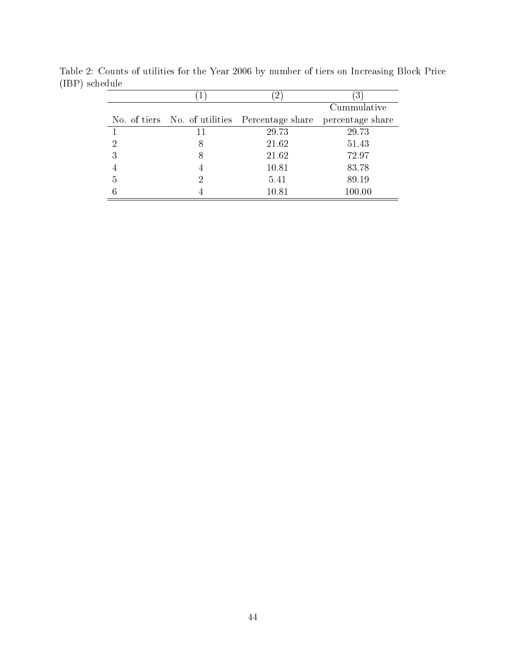|   |    | $\angle$                                                        | 3           |
|---|----|-----------------------------------------------------------------|-------------|
|   |    |                                                                 | Cummulative |
|   |    | No. of tiers No. of utilities Percentage share percentage share |             |
|   | 11 | 29.73                                                           | 29.73       |
| 2 | 8  | 21.62                                                           | 51.43       |
| 3 | 8  | 21.62                                                           | 72.97       |
|   | 4  | 10.81                                                           | 83.78       |
| 5 | 2  | 5.41                                                            | 89.19       |
|   |    | 10.81                                                           | 100.00      |

Table 2: Counts of utilities for the Year 2006 by number of tiers on Increasing Block Price (IBP) schedule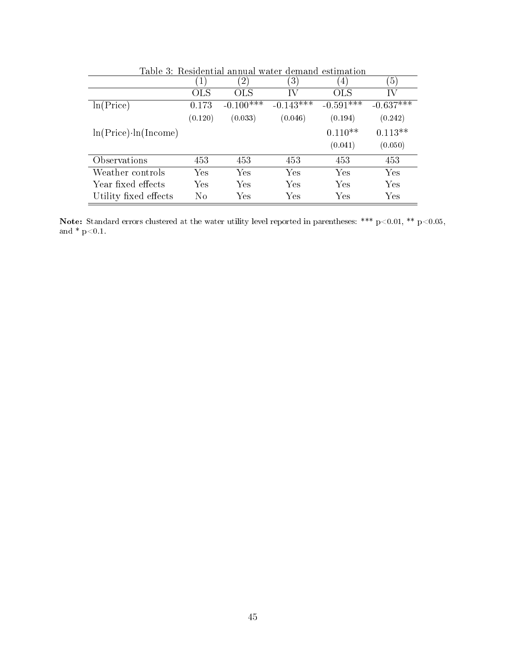| Table 3: Residential annual water demand estimation |         |                  |                      |             |                |
|-----------------------------------------------------|---------|------------------|----------------------|-------------|----------------|
|                                                     | 1)      | $\left(2\right)$ | $\left(3\right)$     | 4           | 5 <sup>2</sup> |
|                                                     | OLS     | <b>OLS</b>       | IV                   | <b>OLS</b>  | IV             |
| ln(Price)                                           | 0.173   | $-0.100***$      | $-0.143***$          | $-0.591***$ | $-0.637***$    |
|                                                     | (0.120) | (0.033)          | (0.046)              | (0.194)     | (0.242)        |
| $ln(Price) \cdot ln( Income)$                       |         |                  |                      | $0.110**$   | $0.113**$      |
|                                                     |         |                  |                      | (0.041)     | (0.050)        |
| Observations                                        | 453     | 453              | 453                  | 453         | 453            |
| Weather controls                                    | Yes     | Yes              | Yes                  | Yes         | Yes            |
| Year fixed effects                                  | Yes     | Yes              | Yes                  | Yes         | Yes            |
| Utility fixed effects                               | No      | Yes              | $\operatorname{Yes}$ | Yes         | Yes            |

Note: Standard errors clustered at the water utility level reported in parentheses: \*\*\*  $p<0.01$ , \*\*  $p<0.05$ , and  $*$  p<0.1.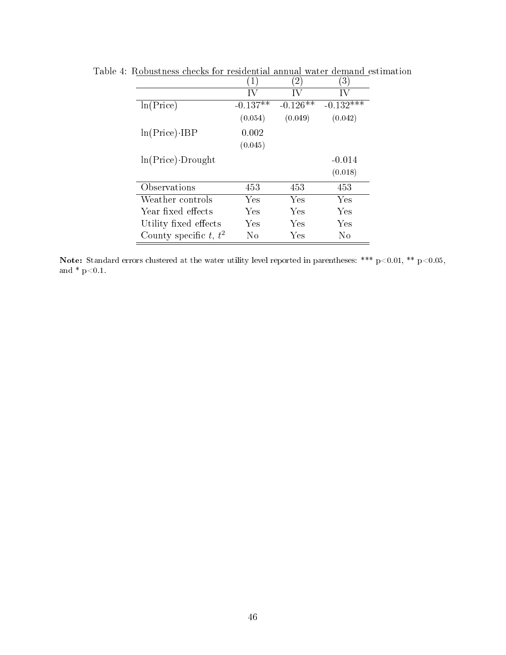|                          | $'1$ ,     | $\overline{2}$ | $\left(3\right)$ |
|--------------------------|------------|----------------|------------------|
|                          | ΙV         | ΙV             | IV               |
| ln(Price)                | $-0.137**$ | $-0.126**$     | $-0.132***$      |
|                          | (0.054)    | (0.049)        | (0.042)          |
| $ln(Price)$ -IBP         | 0.002      |                |                  |
|                          | (0.045)    |                |                  |
| $ln(Price)$ . Drought    |            |                | $-0.014$         |
|                          |            |                | (0.018)          |
| Observations             | 453        | 453            | 453              |
| Weather controls         | Yes        | Yes            | Yes              |
| Year fixed effects       | Yes        | Yes            | Yes              |
| Utility fixed effects    | Yes        | Yes            | Yes              |
| County specific t, $t^2$ | No         | Yes            | No               |

Table 4: Robustness checks for residential annual water demand estimation

Note: Standard errors clustered at the water utility level reported in parentheses: \*\*\*  $p<0.01$ , \*\*  $p<0.05$ , and \* p<0.1.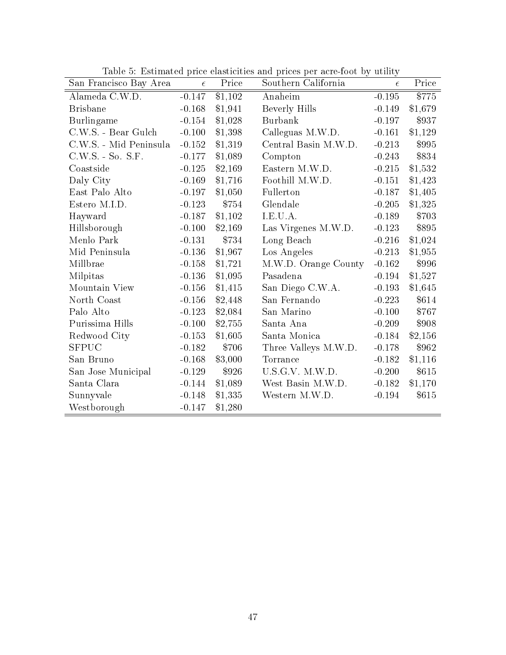| San Francisco Bay Area | $\epsilon$ | Price   | Table 5. Estimated price elasticities and prices per acre-loot by utility<br>Southern California | $\epsilon$ | Price   |
|------------------------|------------|---------|--------------------------------------------------------------------------------------------------|------------|---------|
| Alameda C.W.D.         | $-0.147$   | \$1,102 | Anaheim                                                                                          | $-0.195$   | \$775   |
| <b>Brisbane</b>        | $-0.168$   | \$1,941 | Beverly Hills                                                                                    | $-0.149$   | \$1,679 |
| Burlingame             | $-0.154$   | \$1,028 | <b>Burbank</b>                                                                                   | $-0.197$   | \$937   |
| C.W.S. - Bear Gulch    | $-0.100$   | \$1,398 | Calleguas M.W.D.                                                                                 | $-0.161$   | \$1,129 |
| C.W.S. - Mid Peninsula | $-0.152$   | \$1,319 | Central Basin M.W.D.                                                                             | $-0.213$   | \$995   |
| $C.W.S. - So. S.F.$    | $-0.177$   | \$1,089 | Compton                                                                                          | $-0.243$   | \$834   |
| Coastside              | $-0.125$   | \$2,169 | Eastern M.W.D.                                                                                   | $-0.215$   | \$1,532 |
| Daly City              | $-0.169$   | \$1,716 | Foothill M.W.D.                                                                                  | $-0.151$   | \$1,423 |
| East Palo Alto         | $-0.197$   | \$1,050 | Fullerton                                                                                        | $-0.187$   | \$1,405 |
| Estero M.I.D.          | $-0.123$   | \$754   | Glendale                                                                                         | $-0.205$   | \$1,325 |
| Hayward                | $-0.187$   | \$1,102 | I.E.U.A.                                                                                         | $-0.189$   | \$703   |
| Hillsborough           | $-0.100$   | \$2,169 | Las Virgenes M.W.D.                                                                              | $-0.123$   | \$895   |
| Menlo Park             | $-0.131$   | \$734   | Long Beach                                                                                       | $-0.216$   | \$1,024 |
| Mid Peninsula          | $-0.136$   | \$1,967 | Los Angeles                                                                                      | $-0.213$   | \$1,955 |
| Millbrae               | $-0.158$   | \$1,721 | M.W.D. Orange County                                                                             | $-0.162$   | \$996   |
| Milpitas               | $-0.136$   | \$1,095 | Pasadena                                                                                         | $-0.194$   | \$1,527 |
| Mountain View          | $-0.156$   | \$1,415 | San Diego C.W.A.                                                                                 | $-0.193$   | \$1,645 |
| North Coast            | $-0.156$   | \$2,448 | San Fernando                                                                                     | $-0.223$   | \$614   |
| Palo Alto              | $-0.123$   | \$2,084 | San Marino                                                                                       | $-0.100$   | \$767   |
| Purissima Hills        | $-0.100$   | \$2,755 | Santa Ana                                                                                        | $-0.209$   | \$908   |
| Redwood City           | $-0.153$   | \$1,605 | Santa Monica                                                                                     | $-0.184$   | \$2,156 |
| <b>SFPUC</b>           | $-0.182$   | \$706   | Three Valleys M.W.D.                                                                             | $-0.178$   | \$962   |
| San Bruno              | $-0.168$   | \$3,000 | Torrance                                                                                         | $-0.182$   | \$1,116 |
| San Jose Municipal     | $-0.129$   | \$926   | U.S.G.V. M.W.D.                                                                                  | $-0.200$   | \$615   |
| Santa Clara            | $-0.144$   | \$1,089 | West Basin M.W.D.                                                                                | $-0.182$   | \$1,170 |
| Sunnyvale              | $-0.148$   | \$1,335 | Western M.W.D.                                                                                   | $-0.194$   | \$615   |
| Westborough            | $-0.147$   | \$1,280 |                                                                                                  |            |         |

Table 5: Estimated price elasticities and prices per acre-foot by utility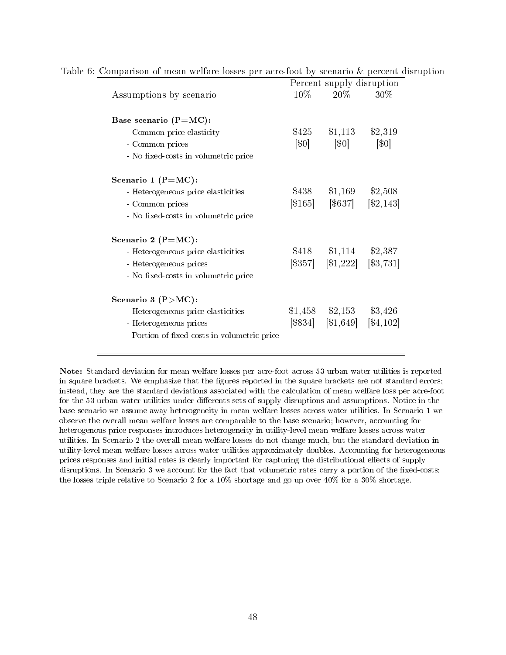|                                              | Percent supply disruption |                                                                                       |                    |  |  |
|----------------------------------------------|---------------------------|---------------------------------------------------------------------------------------|--------------------|--|--|
| Assumptions by scenario                      | $10\%$                    | $20\%$                                                                                | $30\%$             |  |  |
|                                              |                           |                                                                                       |                    |  |  |
| Base scenario (P=MC):                        |                           |                                                                                       |                    |  |  |
| - Common price elasticity                    |                           | $$425$ $$1,113$ $$2,319$                                                              |                    |  |  |
| - Common prices                              | $\left[ 80\right]$        | $\lbrack \$0\rbrack$                                                                  | $\lceil 30 \rceil$ |  |  |
| - No fixed-costs in volumetric price         |                           |                                                                                       |                    |  |  |
| Scenario 1 ( $P=MC$ ):                       |                           |                                                                                       |                    |  |  |
| - Heterogeneous price elasticities           | \$438                     | $$1,169$ $$2,508$                                                                     |                    |  |  |
| - Common prices                              |                           | $\lbrack $165] \quad [ $637] \quad [ $2,143]$                                         |                    |  |  |
| - No fixed-costs in volumetric price         |                           |                                                                                       |                    |  |  |
| Scenario 2 ( $P=MC$ ):                       |                           |                                                                                       |                    |  |  |
| - Heterogeneous price elasticities           |                           | $$418$ $$1,114$ $$2,387$                                                              |                    |  |  |
| - Heterogeneous prices                       |                           | $\begin{bmatrix} $357] & $1,222 \end{bmatrix}$ $\begin{bmatrix} $3,731 \end{bmatrix}$ |                    |  |  |
| - No fixed-costs in volumetric price         |                           |                                                                                       |                    |  |  |
| Scenario 3 ( $P > MC$ ):                     |                           |                                                                                       |                    |  |  |
| - Heterogeneous price elasticities           |                           | $$1,458$ $$2,153$ $$3,426$                                                            |                    |  |  |
| - Heterogeneous prices                       |                           | $[\$834]$ $[\$1,649]$ $[\$4,102]$                                                     |                    |  |  |
| - Portion of fixed-costs in volumetric price |                           |                                                                                       |                    |  |  |
|                                              |                           |                                                                                       |                    |  |  |

| Table 6: Comparison of mean welfare losses per acre-foot by scenario & percent disruption |  |  |  |  |  |  |
|-------------------------------------------------------------------------------------------|--|--|--|--|--|--|
|                                                                                           |  |  |  |  |  |  |

Note: Standard deviation for mean welfare losses per acre-foot across 53 urban water utilities is reported in square brackets. We emphasize that the figures reported in the square brackets are not standard errors; instead, they are the standard deviations associated with the calculation of mean welfare loss per acre-foot for the 53 urban water utilities under differents sets of supply disruptions and assumptions. Notice in the base scenario we assume away heterogeneity in mean welfare losses across water utilities. In Scenario 1 we observe the overall mean welfare losses are comparable to the base scenario; however, accounting for heterogenous price responses introduces heterogeneity in utility-level mean welfare losses across water utilities. In Scenario 2 the overall mean welfare losses do not change much, but the standard deviation in utility-level mean welfare losses across water utilities approximately doubles. Accounting for heterogeneous prices responses and initial rates is clearly important for capturing the distributional effects of supply disruptions. In Scenario 3 we account for the fact that volumetric rates carry a portion of the fixed-costs; the losses triple relative to Scenario 2 for a 10% shortage and go up over 40% for a 30% shortage.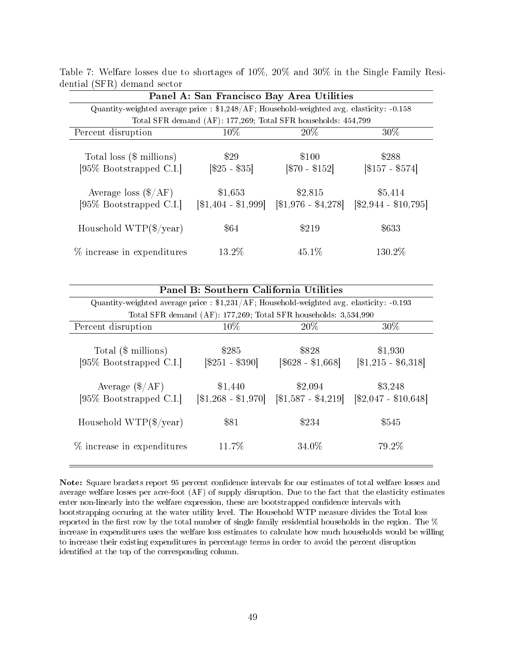|                                                                                                   |                                  | Panel A: San Francisco Bay Area Utilities                     |                                   |
|---------------------------------------------------------------------------------------------------|----------------------------------|---------------------------------------------------------------|-----------------------------------|
| Quantity-weighted average price : $\frac{1}{248}$ /AF; Household-weighted avg. elasticity: -0.158 |                                  |                                                               |                                   |
|                                                                                                   |                                  | Total SFR demand (AF): 177,269; Total SFR households: 454,799 |                                   |
| Percent disruption                                                                                | $10\%$                           | $20\%$                                                        | 30\%                              |
| Total loss (\$ millions)<br>$[95\%$ Bootstrapped C.I.                                             | \$29<br>$[$25 - $35]$            | \$100<br>$[$70 - $152]$                                       | \$288<br>$[$157 - $574]$          |
| Average loss $(\$/AF)$<br>[95\% Bootstrapped C.I.]                                                | \$1,653<br>$[\$1,404 - \$1,999]$ | \$2,815<br>$[\$1,976 - $4,278]$                               | \$5,414<br>$[\$2,944 - \$10,795]$ |
| Household $WTP(\frac{6}{year})$                                                                   | \$64                             | \$219                                                         | \$633                             |
| % increase in expenditures                                                                        | $13.2\%$                         | 45.1\%                                                        | 130.2\%                           |

Table 7: Welfare losses due to shortages of 10%, 20% and 30% in the Single Family Residential (SFR) demand sector

|                                                                  | Panel B: Southern California Utilities                                                   |                                                                 |                                  |  |  |  |  |
|------------------------------------------------------------------|------------------------------------------------------------------------------------------|-----------------------------------------------------------------|----------------------------------|--|--|--|--|
|                                                                  | Quantity-weighted average price : \$1,231/AF; Household-weighted avg. elasticity: -0.193 |                                                                 |                                  |  |  |  |  |
|                                                                  |                                                                                          | Total SFR demand (AF): 177,269; Total SFR households: 3,534,990 |                                  |  |  |  |  |
| $10\%$<br>$20\%$<br>$30\%$<br>Percent disruption                 |                                                                                          |                                                                 |                                  |  |  |  |  |
| Total (\$ millions)<br>[95% Bootstrapped C.I.]                   | \$285<br>$\[\$251 - \$390\]$                                                             | \$828<br>$[$628 - $1,668]$                                      | \$1,930<br>$[\$1,215 - \$6,318]$ |  |  |  |  |
| Average $(\frac{4}{AF})$                                         | \$1,440                                                                                  | \$2,094                                                         | \$3,248                          |  |  |  |  |
| $[95\%$ Bootstrapped C.I.                                        | $[\$1,268 - \$1,970]$                                                                    | $\left[ \$1,587 - \$4,219 \right]$                              | $[\$2,047 - \$10,648]$           |  |  |  |  |
| Household $WTP(\frac{6}{year})$<br>$\%$ increase in expenditures | \$81<br>11.7%                                                                            | \$234<br>34.0%                                                  | \$545<br>79.2%                   |  |  |  |  |

Note: Square brackets report 95 percent confidence intervals for our estimates of total welfare losses and average welfare losses per acre-foot (AF) of supply disruption. Due to the fact that the elasticity estimates enter non-linearly into the welfare expression, these are bootstrapped confidence intervals with bootstrapping occuring at the water utility level. The Household WTP measure divides the Total loss reported in the first row by the total number of single family residential households in the region. The  $\%$ increase in expenditures uses the welfare loss estimates to calculate how much households would be willing to increase their existing expenditures in percentage terms in order to avoid the percent disruption identified at the top of the corresponding column.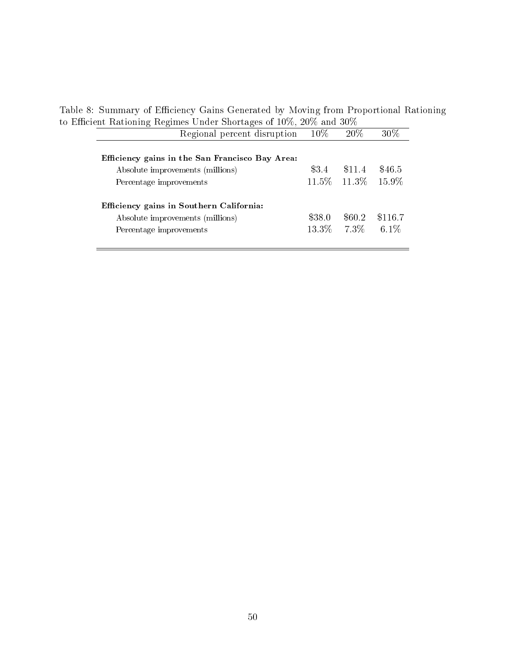Table 8: Summary of Efficiency Gains Generated by Moving from Proportional Rationing to Efficient Rationing Regimes Under Shortages of  $10\%$ ,  $20\%$  and  $30\%$ 

| $\epsilon$                               |                                                 |        |                      |         |
|------------------------------------------|-------------------------------------------------|--------|----------------------|---------|
|                                          | Regional percent disruption                     | $10\%$ | 20\%                 | 30%     |
|                                          |                                                 |        |                      |         |
|                                          | Efficiency gains in the San Francisco Bay Area: |        |                      |         |
| Absolute improvements (millions)         |                                                 | \$3.4  | \$11.4               | \$46.5  |
| Percentage improvements                  |                                                 |        | 11.5\% 11.3\% 15.9\% |         |
|                                          |                                                 |        |                      |         |
| Efficiency gains in Southern California: |                                                 |        |                      |         |
| Absolute improvements (millions)         |                                                 | \$38.0 | \$60.2               | \$116.7 |
| Percentage improvements                  |                                                 |        | $13.3\%$ 7.3\%       | $6.1\%$ |
|                                          |                                                 |        |                      |         |
|                                          |                                                 |        |                      |         |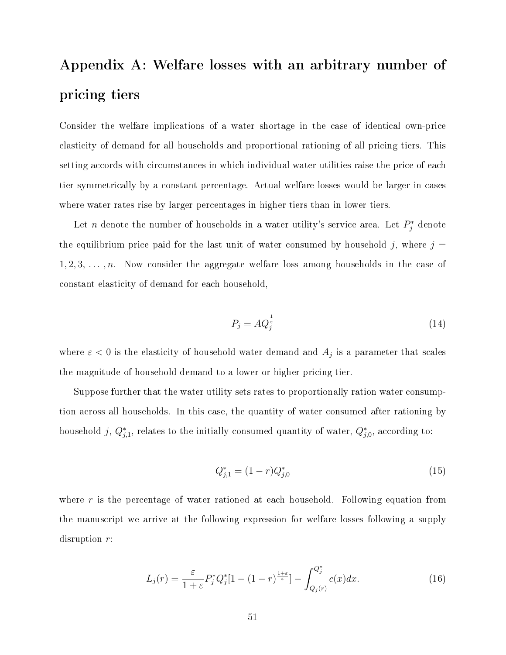## Appendix A: Welfare losses with an arbitrary number of pricing tiers

Consider the welfare implications of a water shortage in the case of identical own-price elasticity of demand for all households and proportional rationing of all pricing tiers. This setting accords with circumstances in which individual water utilities raise the price of each tier symmetrically by a constant percentage. Actual welfare losses would be larger in cases where water rates rise by larger percentages in higher tiers than in lower tiers.

Let *n* denote the number of households in a water utility's service area. Let  $P_j^*$  denote the equilibrium price paid for the last unit of water consumed by household j, where  $j =$  $1, 2, 3, \ldots, n$ . Now consider the aggregate welfare loss among households in the case of constant elasticity of demand for each household,

$$
P_j = A Q_j^{\frac{1}{\varepsilon}} \tag{14}
$$

where  $\varepsilon < 0$  is the elasticity of household water demand and  $A_j$  is a parameter that scales the magnitude of household demand to a lower or higher pricing tier.

Suppose further that the water utility sets rates to proportionally ration water consumption across all households. In this case, the quantity of water consumed after rationing by household j,  $Q_{j,1}^*$ , relates to the initially consumed quantity of water,  $Q_{j,0}^*$ , according to:

$$
Q_{j,1}^* = (1-r)Q_{j,0}^*
$$
\n(15)

where  $r$  is the percentage of water rationed at each household. Following equation from the manuscript we arrive at the following expression for welfare losses following a supply disruption r:

$$
L_j(r) = \frac{\varepsilon}{1+\varepsilon} P_j^* Q_j^* [1-(1-r)^{\frac{1+\varepsilon}{\varepsilon}}] - \int_{Q_j(r)}^{Q_j^*} c(x) dx.
$$
 (16)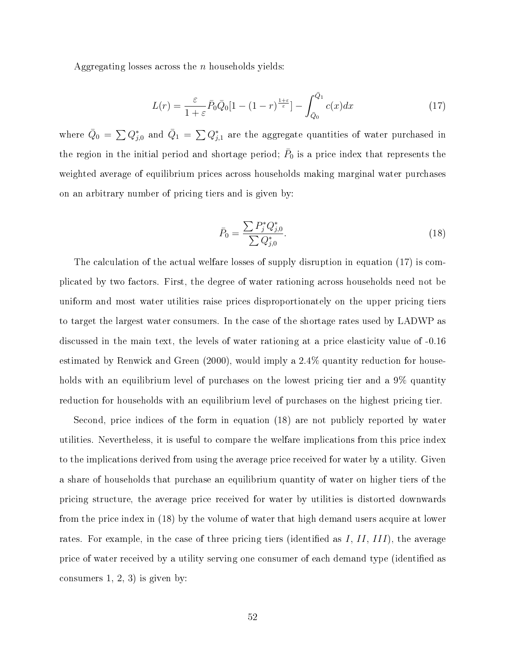Aggregating losses across the n households yields:

$$
L(r) = \frac{\varepsilon}{1+\varepsilon} \bar{P}_0 \bar{Q}_0 \left[ 1 - (1-r)^{\frac{1+\varepsilon}{\varepsilon}} \right] - \int_{\bar{Q}_0}^{\bar{Q}_1} c(x) dx \tag{17}
$$

where  $\bar{Q}_0 = \sum Q_{j,0}^*$  and  $\bar{Q}_1 = \sum Q_{j,1}^*$  are the aggregate quantities of water purchased in the region in the initial period and shortage period;  $\bar{P}_0$  is a price index that represents the weighted average of equilibrium prices across households making marginal water purchases on an arbitrary number of pricing tiers and is given by:

$$
\bar{P}_0 = \frac{\sum P_j^* Q_{j,0}^*}{\sum Q_{j,0}^*}.\tag{18}
$$

The calculation of the actual welfare losses of supply disruption in equation (17) is complicated by two factors. First, the degree of water rationing across households need not be uniform and most water utilities raise prices disproportionately on the upper pricing tiers to target the largest water consumers. In the case of the shortage rates used by LADWP as discussed in the main text, the levels of water rationing at a price elasticity value of -0.16 estimated by Renwick and Green (2000), would imply a 2.4% quantity reduction for households with an equilibrium level of purchases on the lowest pricing tier and a 9% quantity reduction for households with an equilibrium level of purchases on the highest pricing tier.

Second, price indices of the form in equation (18) are not publicly reported by water utilities. Nevertheless, it is useful to compare the welfare implications from this price index to the implications derived from using the average price received for water by a utility. Given a share of households that purchase an equilibrium quantity of water on higher tiers of the pricing structure, the average price received for water by utilities is distorted downwards from the price index in (18) by the volume of water that high demand users acquire at lower rates. For example, in the case of three pricing tiers (identified as  $I, II, III$ ), the average price of water received by a utility serving one consumer of each demand type (identied as consumers  $1, 2, 3$  is given by: